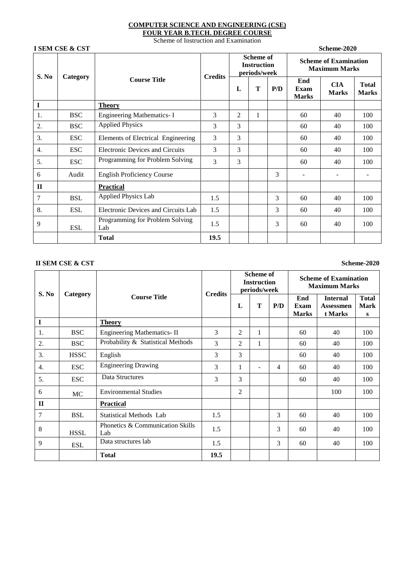### **COMPUTER SCIENCE AND ENGINEERING (CSE) FOUR YEAR B.TECH. DEGREE COURSE**

Scheme of Instruction and Examination

**I SEM CSE & CST Scheme-2020**

| S. No            |            |                                        | <b>Credits</b> |                | <b>Scheme of</b><br><b>Instruction</b><br>periods/week |     | <b>Scheme of Examination</b><br><b>Maximum Marks</b> |                            |                              |  |
|------------------|------------|----------------------------------------|----------------|----------------|--------------------------------------------------------|-----|------------------------------------------------------|----------------------------|------------------------------|--|
|                  | Category   | <b>Course Title</b>                    |                | L              | T                                                      | P/D | End<br>Exam<br><b>Marks</b>                          | <b>CIA</b><br><b>Marks</b> | <b>Total</b><br><b>Marks</b> |  |
| I                |            | <b>Theory</b>                          |                |                |                                                        |     |                                                      |                            |                              |  |
| 1.               | <b>BSC</b> | <b>Engineering Mathematics-I</b>       | 3              | $\overline{c}$ | $\mathbf 1$                                            |     | 60                                                   | 40                         | 100                          |  |
| 2.               | <b>BSC</b> | <b>Applied Physics</b>                 | 3              | 3              |                                                        |     | 60                                                   | 40                         | 100                          |  |
| 3.               | <b>ESC</b> | Elements of Electrical Engineering     | 3              | 3              |                                                        |     | 60                                                   | 40                         | 100                          |  |
| $\overline{4}$ . | <b>ESC</b> | <b>Electronic Devices and Circuits</b> | 3              | 3              |                                                        |     | 60                                                   | 40                         | 100                          |  |
| 5.               | <b>ESC</b> | Programming for Problem Solving        | 3              | 3              |                                                        |     | 60                                                   | 40                         | 100                          |  |
| 6                | Audit      | <b>English Proficiency Course</b>      |                |                |                                                        | 3   | $\blacksquare$                                       |                            |                              |  |
| $\mathbf{I}$     |            | Practical                              |                |                |                                                        |     |                                                      |                            |                              |  |
| 7                | <b>BSL</b> | <b>Applied Physics Lab</b>             | 1.5            |                |                                                        | 3   | 60                                                   | 40                         | 100                          |  |
| 8.               | <b>ESL</b> | Electronic Devices and Circuits Lab    | 1.5            |                |                                                        | 3   | 60                                                   | 40                         | 100                          |  |
| 9                | <b>ESL</b> | Programming for Problem Solving<br>Lab | 1.5            |                |                                                        | 3   | 60                                                   | 40                         | 100                          |  |
|                  |            | <b>Total</b>                           | 19.5           |                |                                                        |     |                                                      |                            |                              |  |

#### **II SEM CSE & CST Scheme-2020**

| S. No          |             |                                         | <b>Credits</b> |   | <b>Scheme of</b><br><b>Instruction</b><br>periods/week |     | <b>Scheme of Examination</b><br><b>Maximum Marks</b> |                                                |                                  |  |
|----------------|-------------|-----------------------------------------|----------------|---|--------------------------------------------------------|-----|------------------------------------------------------|------------------------------------------------|----------------------------------|--|
|                | Category    | <b>Course Title</b>                     |                | L | T                                                      | P/D | End<br>Exam<br><b>Marks</b>                          | <b>Internal</b><br><b>Assessmen</b><br>t Marks | <b>Total</b><br><b>Mark</b><br>S |  |
| I              |             | <b>Theory</b>                           |                |   |                                                        |     |                                                      |                                                |                                  |  |
| 1.             | <b>BSC</b>  | <b>Engineering Mathematics-II</b>       | 3              | 2 | 1                                                      |     | 60                                                   | 40                                             | 100                              |  |
| 2.             | <b>BSC</b>  | Probability & Statistical Methods       | 3              | 2 | 1                                                      |     | 60                                                   | 40                                             | 100                              |  |
| 3.             | <b>HSSC</b> | English                                 | 3              | 3 |                                                        |     | 60                                                   | 40                                             | 100                              |  |
| 4.             | <b>ESC</b>  | <b>Engineering Drawing</b>              | 3              | 1 |                                                        | 4   | 60                                                   | 40                                             | 100                              |  |
| 5.             | <b>ESC</b>  | Data Structures                         | 3              | 3 |                                                        |     | 60                                                   | 40                                             | 100                              |  |
| 6              | MC          | <b>Environmental Studies</b>            |                | 2 |                                                        |     |                                                      | 100                                            | 100                              |  |
| $\Pi$          |             | <b>Practical</b>                        |                |   |                                                        |     |                                                      |                                                |                                  |  |
| $\overline{7}$ | <b>BSL</b>  | <b>Statistical Methods Lab</b>          | 1.5            |   |                                                        | 3   | 60                                                   | 40                                             | 100                              |  |
| 8              | <b>HSSL</b> | Phonetics & Communication Skills<br>Lab | 1.5            |   |                                                        | 3   | 60                                                   | 40                                             | 100                              |  |
| 9              | <b>ESL</b>  | Data structures lab                     | 1.5            |   |                                                        | 3   | 60                                                   | 40                                             | 100                              |  |
|                |             | <b>Total</b>                            | 19.5           |   |                                                        |     |                                                      |                                                |                                  |  |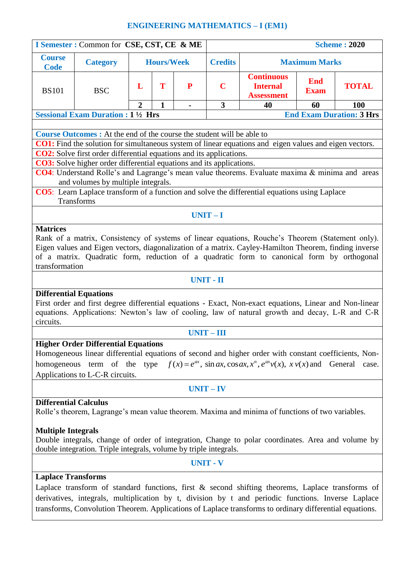## **ENGINEERING MATHEMATICS – I (EM1)**

| I Semester : Common for CSE, CST, CE & ME                                                                                                          |                                                                                                                                                                                        |                |                   |                          |                         |                                                                                                            | <b>Scheme: 2020</b>       |                                 |  |  |  |  |
|----------------------------------------------------------------------------------------------------------------------------------------------------|----------------------------------------------------------------------------------------------------------------------------------------------------------------------------------------|----------------|-------------------|--------------------------|-------------------------|------------------------------------------------------------------------------------------------------------|---------------------------|---------------------------------|--|--|--|--|
| <b>Course</b><br><b>Code</b>                                                                                                                       | <b>Category</b>                                                                                                                                                                        |                | <b>Hours/Week</b> |                          | <b>Credits</b>          |                                                                                                            | <b>Maximum Marks</b>      |                                 |  |  |  |  |
| <b>BS101</b>                                                                                                                                       | <b>BSC</b>                                                                                                                                                                             | L              | T                 | ${\bf P}$                | $\mathbf C$             | <b>Continuous</b><br><b>Internal</b><br><b>Assessment</b>                                                  | <b>End</b><br><b>Exam</b> | <b>TOTAL</b>                    |  |  |  |  |
|                                                                                                                                                    |                                                                                                                                                                                        | $\overline{2}$ | $\mathbf{1}$      | $\overline{\phantom{0}}$ | $\overline{\mathbf{3}}$ | 40                                                                                                         | 60                        | <b>100</b>                      |  |  |  |  |
|                                                                                                                                                    | <b>Sessional Exam Duration : 1 1/2 Hrs</b>                                                                                                                                             |                |                   |                          |                         |                                                                                                            |                           | <b>End Exam Duration: 3 Hrs</b> |  |  |  |  |
|                                                                                                                                                    |                                                                                                                                                                                        |                |                   |                          |                         |                                                                                                            |                           |                                 |  |  |  |  |
|                                                                                                                                                    | <b>Course Outcomes:</b> At the end of the course the student will be able to<br>CO1: Find the solution for simultaneous system of linear equations and eigen values and eigen vectors. |                |                   |                          |                         |                                                                                                            |                           |                                 |  |  |  |  |
|                                                                                                                                                    |                                                                                                                                                                                        |                |                   |                          |                         |                                                                                                            |                           |                                 |  |  |  |  |
| <b>CO2:</b> Solve first order differential equations and its applications.<br>CO3: Solve higher order differential equations and its applications. |                                                                                                                                                                                        |                |                   |                          |                         |                                                                                                            |                           |                                 |  |  |  |  |
|                                                                                                                                                    |                                                                                                                                                                                        |                |                   |                          |                         |                                                                                                            |                           |                                 |  |  |  |  |
| CO4: Understand Rolle's and Lagrange's mean value theorems. Evaluate maxima & minima and areas<br>and volumes by multiple integrals.               |                                                                                                                                                                                        |                |                   |                          |                         |                                                                                                            |                           |                                 |  |  |  |  |
|                                                                                                                                                    |                                                                                                                                                                                        |                |                   |                          |                         |                                                                                                            |                           |                                 |  |  |  |  |
| CO5: Learn Laplace transform of a function and solve the differential equations using Laplace<br><b>Transforms</b>                                 |                                                                                                                                                                                        |                |                   |                          |                         |                                                                                                            |                           |                                 |  |  |  |  |
|                                                                                                                                                    |                                                                                                                                                                                        |                |                   |                          |                         |                                                                                                            |                           |                                 |  |  |  |  |
| $UNIT-I$                                                                                                                                           |                                                                                                                                                                                        |                |                   |                          |                         |                                                                                                            |                           |                                 |  |  |  |  |
| <b>Matrices</b>                                                                                                                                    |                                                                                                                                                                                        |                |                   |                          |                         |                                                                                                            |                           |                                 |  |  |  |  |
| Rank of a matrix, Consistency of systems of linear equations, Rouche's Theorem (Statement only).                                                   |                                                                                                                                                                                        |                |                   |                          |                         |                                                                                                            |                           |                                 |  |  |  |  |
| Eigen values and Eigen vectors, diagonalization of a matrix. Cayley-Hamilton Theorem, finding inverse                                              |                                                                                                                                                                                        |                |                   |                          |                         |                                                                                                            |                           |                                 |  |  |  |  |
| of a matrix. Quadratic form, reduction of a quadratic form to canonical form by orthogonal                                                         |                                                                                                                                                                                        |                |                   |                          |                         |                                                                                                            |                           |                                 |  |  |  |  |
|                                                                                                                                                    | transformation                                                                                                                                                                         |                |                   |                          |                         |                                                                                                            |                           |                                 |  |  |  |  |
|                                                                                                                                                    |                                                                                                                                                                                        |                |                   |                          | <b>UNIT - II</b>        |                                                                                                            |                           |                                 |  |  |  |  |
|                                                                                                                                                    | <b>Differential Equations</b>                                                                                                                                                          |                |                   |                          |                         |                                                                                                            |                           |                                 |  |  |  |  |
|                                                                                                                                                    |                                                                                                                                                                                        |                |                   |                          |                         | First order and first degree differential equations - Exact, Non-exact equations, Linear and Non-linear    |                           |                                 |  |  |  |  |
|                                                                                                                                                    |                                                                                                                                                                                        |                |                   |                          |                         | equations. Applications: Newton's law of cooling, law of natural growth and decay, L-R and C-R             |                           |                                 |  |  |  |  |
| circuits.                                                                                                                                          |                                                                                                                                                                                        |                |                   |                          |                         |                                                                                                            |                           |                                 |  |  |  |  |
|                                                                                                                                                    |                                                                                                                                                                                        |                |                   |                          | $UNIT - III$            |                                                                                                            |                           |                                 |  |  |  |  |
|                                                                                                                                                    | <b>Higher Order Differential Equations</b>                                                                                                                                             |                |                   |                          |                         |                                                                                                            |                           |                                 |  |  |  |  |
|                                                                                                                                                    |                                                                                                                                                                                        |                |                   |                          |                         | Homogeneous linear differential equations of second and higher order with constant coefficients, Non-      |                           |                                 |  |  |  |  |
|                                                                                                                                                    |                                                                                                                                                                                        |                |                   |                          |                         | homogeneous term of the type $f(x) = e^{ax}$ , sin ax, cos ax, $x^n$ , $e^{ax}v(x)$ , $x v(x)$ and General |                           | case.                           |  |  |  |  |
|                                                                                                                                                    | Applications to L-C-R circuits.                                                                                                                                                        |                |                   |                          |                         |                                                                                                            |                           |                                 |  |  |  |  |
|                                                                                                                                                    |                                                                                                                                                                                        |                |                   |                          | $UNIT - IV$             |                                                                                                            |                           |                                 |  |  |  |  |
| <b>Differential Calculus</b>                                                                                                                       |                                                                                                                                                                                        |                |                   |                          |                         |                                                                                                            |                           |                                 |  |  |  |  |
|                                                                                                                                                    |                                                                                                                                                                                        |                |                   |                          |                         | Rolle's theorem, Lagrange's mean value theorem. Maxima and minima of functions of two variables.           |                           |                                 |  |  |  |  |
|                                                                                                                                                    |                                                                                                                                                                                        |                |                   |                          |                         |                                                                                                            |                           |                                 |  |  |  |  |
| <b>Multiple Integrals</b>                                                                                                                          |                                                                                                                                                                                        |                |                   |                          |                         |                                                                                                            |                           |                                 |  |  |  |  |
| Double integrals, change of order of integration, Change to polar coordinates. Area and volume by                                                  |                                                                                                                                                                                        |                |                   |                          |                         |                                                                                                            |                           |                                 |  |  |  |  |
| double integration. Triple integrals, volume by triple integrals.                                                                                  |                                                                                                                                                                                        |                |                   |                          |                         |                                                                                                            |                           |                                 |  |  |  |  |
|                                                                                                                                                    |                                                                                                                                                                                        |                |                   |                          | <b>UNIT - V</b>         |                                                                                                            |                           |                                 |  |  |  |  |
| <b>Laplace Transforms</b>                                                                                                                          |                                                                                                                                                                                        |                |                   |                          |                         |                                                                                                            |                           |                                 |  |  |  |  |
|                                                                                                                                                    |                                                                                                                                                                                        |                |                   |                          |                         |                                                                                                            |                           |                                 |  |  |  |  |
|                                                                                                                                                    |                                                                                                                                                                                        |                |                   |                          |                         | Laplace transform of standard functions, first & second shifting theorems, Laplace transforms of           |                           |                                 |  |  |  |  |
|                                                                                                                                                    |                                                                                                                                                                                        |                |                   |                          |                         | derivatives, integrals, multiplication by t, division by t and periodic functions. Inverse Laplace         |                           |                                 |  |  |  |  |
|                                                                                                                                                    | transforms, Convolution Theorem. Applications of Laplace transforms to ordinary differential equations.                                                                                |                |                   |                          |                         |                                                                                                            |                           |                                 |  |  |  |  |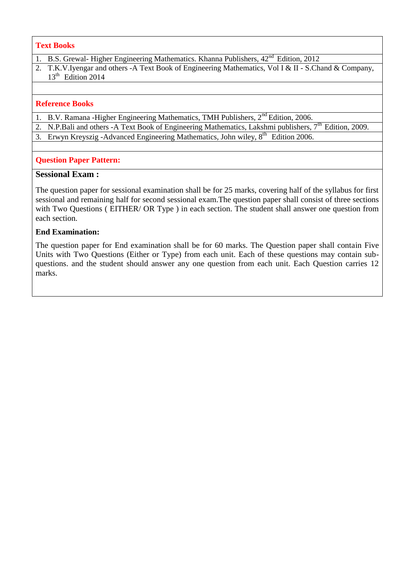### **Text Books**

- 1. B.S. Grewal-Higher Engineering Mathematics. Khanna Publishers,  $42<sup>nd</sup>$  Edition, 2012
- 2. T.K.V.Iyengar and others -A Text Book of Engineering Mathematics, Vol I & II S.Chand & Company, 13<sup>th</sup> Edition 2014

### **Reference Books**

- 1. B.V. Ramana -Higher Engineering Mathematics, TMH Publishers, 2nd Edition, 2006.
- 2. N.P.Bali and others -A Text Book of Engineering Mathematics, Lakshmi publishers, 7<sup>th</sup> Edition, 2009.
- 3. Erwyn Kreyszig -Advanced Engineering Mathematics, John wiley, 8<sup>th</sup> Edition 2006.

### **Question Paper Pattern:**

### **Sessional Exam :**

The question paper for sessional examination shall be for 25 marks, covering half of the syllabus for first sessional and remaining half for second sessional exam.The question paper shall consist of three sections with Two Questions ( EITHER/ OR Type ) in each section. The student shall answer one question from each section.

### **End Examination:**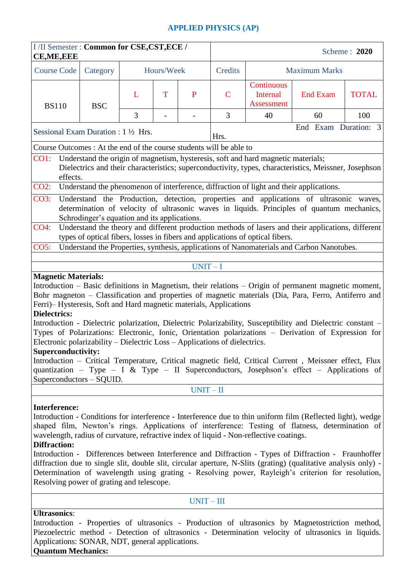## **APPLIED PHYSICS (AP)**

| I /II Semester: Common for CSE, CST, ECE /<br><b>CE, ME, EEE</b>                                                                                                                                                  |                                              |   |            |              | Scheme: 2020   |                                                                               |                                                                                                                                                                                      |              |  |  |  |
|-------------------------------------------------------------------------------------------------------------------------------------------------------------------------------------------------------------------|----------------------------------------------|---|------------|--------------|----------------|-------------------------------------------------------------------------------|--------------------------------------------------------------------------------------------------------------------------------------------------------------------------------------|--------------|--|--|--|
| <b>Course Code</b>                                                                                                                                                                                                | Category                                     |   | Hours/Week |              | Credits        | <b>Maximum Marks</b>                                                          |                                                                                                                                                                                      |              |  |  |  |
| <b>BS110</b>                                                                                                                                                                                                      | <b>BSC</b>                                   | L | T          | $\mathbf{P}$ | $\overline{C}$ | Continuous<br>Internal<br>Assessment                                          | <b>End Exam</b>                                                                                                                                                                      | <b>TOTAL</b> |  |  |  |
|                                                                                                                                                                                                                   |                                              | 3 |            |              | 3              | 40                                                                            | 60                                                                                                                                                                                   | 100          |  |  |  |
| Sessional Exam Duration : 1 ½ Hrs.                                                                                                                                                                                |                                              |   |            |              | Hrs.           |                                                                               | End Exam Duration: 3                                                                                                                                                                 |              |  |  |  |
| Course Outcomes : At the end of the course students will be able to                                                                                                                                               |                                              |   |            |              |                |                                                                               |                                                                                                                                                                                      |              |  |  |  |
| $CO1$ :<br>Understand the origin of magnetism, hysteresis, soft and hard magnetic materials;<br>Dielectrics and their characteristics; superconductivity, types, characteristics, Meissner, Josephson<br>effects. |                                              |   |            |              |                |                                                                               |                                                                                                                                                                                      |              |  |  |  |
| $CO2$ :                                                                                                                                                                                                           |                                              |   |            |              |                |                                                                               | Understand the phenomenon of interference, diffraction of light and their applications.                                                                                              |              |  |  |  |
| CO3:                                                                                                                                                                                                              | Schrodinger's equation and its applications. |   |            |              |                |                                                                               | Understand the Production, detection, properties and applications of ultrasonic waves,<br>determination of velocity of ultrasonic waves in liquids. Principles of quantum mechanics, |              |  |  |  |
| CO4:                                                                                                                                                                                                              |                                              |   |            |              |                | types of optical fibers, losses in fibers and applications of optical fibers. | Understand the theory and different production methods of lasers and their applications, different                                                                                   |              |  |  |  |
| CO5:                                                                                                                                                                                                              |                                              |   |            |              |                |                                                                               | Understand the Properties, synthesis, applications of Nanomaterials and Carbon Nanotubes.                                                                                            |              |  |  |  |
|                                                                                                                                                                                                                   |                                              |   |            |              |                |                                                                               |                                                                                                                                                                                      |              |  |  |  |
|                                                                                                                                                                                                                   | $UNIT-I$                                     |   |            |              |                |                                                                               |                                                                                                                                                                                      |              |  |  |  |
| <b>Magnetic Materials:</b>                                                                                                                                                                                        |                                              |   |            |              |                |                                                                               | Introduction – Basic definitions in Magnetism, their relations – Origin of permanent magnetic moment.                                                                                |              |  |  |  |

Introduction – Basic definitions in Magnetism, their relations – Origin of permanent magnetic moment, Bohr magneton – Classification and properties of magnetic materials (Dia, Para, Ferro, Antiferro and Ferri)– Hysteresis, Soft and Hard magnetic materials, Applications

### **Dielectrics:**

Introduction - Dielectric polarization, Dielectric Polarizability, Susceptibility and Dielectric constant – Types of Polarizations: Electronic, Ionic, Orientation polarizations – Derivation of Expression for Electronic polarizability – Dielectric Loss – Applications of dielectrics.

### **Superconductivity:**

Introduction – Critical Temperature, Critical magnetic field, Critical Current , Meissner effect, Flux quantization – Type – I & Type – II Superconductors, Josephson's effect – Applications of Superconductors – SQUID.

UNIT – II

#### **Interference:**

Introduction - Conditions for interference - Interference due to thin uniform film (Reflected light), wedge shaped film, Newton"s rings. Applications of interference: Testing of flatness, determination of wavelength, radius of curvature, refractive index of liquid - Non-reflective coatings.

### **Diffraction:**

Introduction - Differences between Interference and Diffraction - Types of Diffraction - Fraunhoffer diffraction due to single slit, double slit, circular aperture, N-Slits (grating) (qualitative analysis only) - Determination of wavelength using grating - Resolving power, Rayleigh's criterion for resolution, Resolving power of grating and telescope.

#### UNIT – III

### **Ultrasonics**:

Introduction - Properties of ultrasonics - Production of ultrasonics by Magnetostriction method, Piezoelectric method - Detection of ultrasonics - Determination velocity of ultrasonics in liquids. Applications: SONAR, NDT, general applications.

### **Quantum Mechanics:**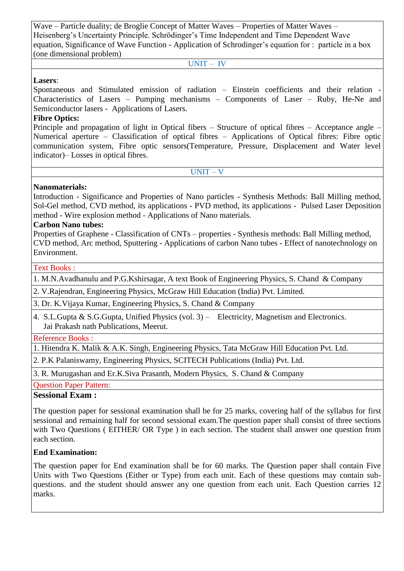Wave – Particle duality; de Broglie Concept of Matter Waves – Properties of Matter Waves – Heisenberg's Uncertainty Principle. Schrödinger's Time Independent and Time Dependent Wave equation, Significance of Wave Function - Application of Schrodinger's equation for : particle in a box (one dimensional problem)

UNIT – IV

#### **Lasers**:

Spontaneous and Stimulated emission of radiation – Einstein coefficients and their relation - Characteristics of Lasers – Pumping mechanisms – Components of Laser – Ruby, He-Ne and Semiconductor lasers - Applications of Lasers.

### **Fibre Optics:**

Principle and propagation of light in Optical fibers – Structure of optical fibres – Acceptance angle – Numerical aperture – Classification of optical fibres – Applications of Optical fibres: Fibre optic communication system, Fibre optic sensors(Temperature, Pressure, Displacement and Water level indicator)– Losses in optical fibres.

UNIT – V

### **Nanomaterials:**

Introduction - Significance and Properties of Nano particles - Synthesis Methods: Ball Milling method, Sol-Gel method, CVD method, its applications - PVD method, its applications - Pulsed Laser Deposition method - Wire explosion method - Applications of Nano materials.

#### **Carbon Nano tubes:**

Properties of Graphene - Classification of CNTs – properties - Synthesis methods: Ball Milling method, CVD method, Arc method, Sputtering - Applications of carbon Nano tubes - Effect of nanotechnology on Environment.

#### Text Books :

1. M.N.Avadhanulu and P.G.Kshirsagar, A text Book of Engineering Physics, S. Chand & Company

2. V.Rajendran, Engineering Physics, McGraw Hill Education (India) Pvt. Limited.

3. Dr. K.Vijaya Kumar, Engineering Physics, S. Chand & Company

4. S.L.Gupta & S.G.Gupta, Unified Physics (vol. 3) – Electricity, Magnetism and Electronics. Jai Prakash nath Publications, Meerut.

#### Reference Books :

1. Hitendra K. Malik & A.K. Singh, Engineering Physics, Tata McGraw Hill Education Pvt. Ltd.

2. P.K Palaniswamy, Engineering Physics, SCITECH Publications (India) Pvt. Ltd.

3. R. Murugashan and Er.K.Siva Prasanth, Modern Physics, S. Chand & Company

### Question Paper Pattern:

## **Sessional Exam :**

The question paper for sessional examination shall be for 25 marks, covering half of the syllabus for first sessional and remaining half for second sessional exam.The question paper shall consist of three sections with Two Questions (EITHER/ OR Type) in each section. The student shall answer one question from each section.

### **End Examination:**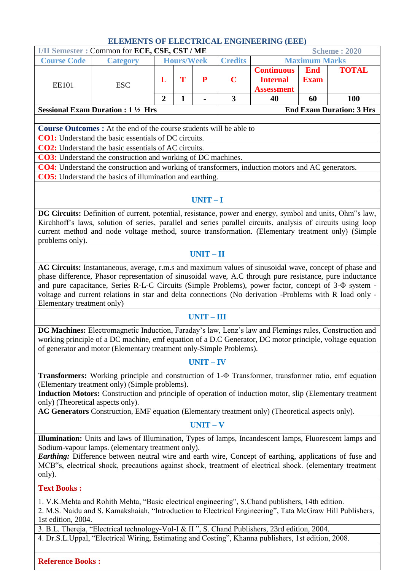### **ELEMENTS OF ELECTRICAL ENGINEERING (EEE)**

|                    | <b>I/II Semester: Common for ECE, CSE, CST / ME</b> |                   |  |  | <b>Scheme: 2020</b> |                                                           |                           |              |  |
|--------------------|-----------------------------------------------------|-------------------|--|--|---------------------|-----------------------------------------------------------|---------------------------|--------------|--|
| <b>Course Code</b> | <b>Category</b>                                     | <b>Hours/Week</b> |  |  | <b>Credits</b>      | <b>Maximum Marks</b>                                      |                           |              |  |
| <b>EE101</b>       | ESC                                                 |                   |  |  |                     | <b>Continuous</b><br><b>Internal</b><br><b>Assessment</b> | <b>End</b><br><b>Exam</b> | <b>TOTAL</b> |  |
|                    |                                                     |                   |  |  |                     | 40                                                        | 60                        | 100          |  |
|                    | Sessional Exam Duration : $1\frac{1}{2}$ Hrs        |                   |  |  |                     | <b>End Exam Duration: 3 Hrs</b>                           |                           |              |  |

**Course Outcomes :** At the end of the course students will be able to

**CO1:** Understand the basic essentials of DC circuits.

**CO2:** Understand the basic essentials of AC circuits.

**CO3:** Understand the construction and working of DC machines.

**CO4:** Understand the construction and working of transformers, induction motors and AC generators.

**CO5:** Understand the basics of illumination and earthing.

## **UNIT – I**

**DC Circuits:** Definition of current, potential, resistance, power and energy, symbol and units, Ohm"s law, Kirchhoff"s laws, solution of series, parallel and series parallel circuits, analysis of circuits using loop current method and node voltage method, source transformation. (Elementary treatment only) (Simple problems only).

### **UNIT – II**

**AC Circuits:** Instantaneous, average, r.m.s and maximum values of sinusoidal wave, concept of phase and phase difference, Phasor representation of sinusoidal wave, A.C through pure resistance, pure inductance and pure capacitance, Series R-L-C Circuits (Simple Problems), power factor, concept of 3-Φ system voltage and current relations in star and delta connections (No derivation -Problems with R load only - Elementary treatment only)

### **UNIT – III**

**DC Machines:** Electromagnetic Induction, Faraday"s law, Lenz"s law and Flemings rules, Construction and working principle of a DC machine, emf equation of a D.C Generator, DC motor principle, voltage equation of generator and motor (Elementary treatment only-Simple Problems).

### **UNIT – IV**

**Transformers:** Working principle and construction of 1-Φ Transformer, transformer ratio, emf equation (Elementary treatment only) (Simple problems).

**Induction Motors:** Construction and principle of operation of induction motor, slip (Elementary treatment only) (Theoretical aspects only).

**AC Generators** Construction, EMF equation (Elementary treatment only) (Theoretical aspects only).

### **UNIT – V**

**Illumination:** Units and laws of Illumination, Types of lamps, Incandescent lamps, Fluorescent lamps and Sodium-vapour lamps. (elementary treatment only).

*Earthing:* Difference between neutral wire and earth wire, Concept of earthing, applications of fuse and MCB"s, electrical shock, precautions against shock, treatment of electrical shock. (elementary treatment only).

**Text Books :**

1. V.K.Mehta and Rohith Mehta, "Basic electrical engineering", S.Chand publishers, 14th edition.

2. M.S. Naidu and S. Kamakshaiah, "Introduction to Electrical Engineering", Tata McGraw Hill Publishers, 1st edition, 2004.

3. B.L. Thereja, "Electrical technology-Vol-I & II ", S. Chand Publishers, 23rd edition, 2004.

4. Dr.S.L.Uppal, "Electrical Wiring, Estimating and Costing", Khanna publishers, 1st edition, 2008.

### **Reference Books :**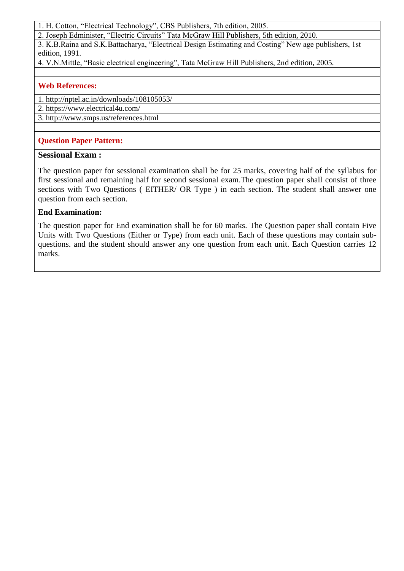1. H. Cotton, "Electrical Technology", CBS Publishers, 7th edition, 2005.

2. Joseph Edminister, "Electric Circuits" Tata McGraw Hill Publishers*,* 5th edition, 2010. 3. K.B.Raina and S.K.Battacharya, "Electrical Design Estimating and Costing" New age publishers, 1st

edition, 1991.

4. V.N.Mittle, "Basic electrical engineering", Tata McGraw Hill Publishers, 2nd edition, 2005.

### **Web References:**

1. http://nptel.ac.in/downloads/108105053/

2. https://www.electrical4u.com/

3. http://www.smps.us/references.html

### **Question Paper Pattern:**

### **Sessional Exam :**

The question paper for sessional examination shall be for 25 marks, covering half of the syllabus for first sessional and remaining half for second sessional exam.The question paper shall consist of three sections with Two Questions ( EITHER/ OR Type ) in each section. The student shall answer one question from each section.

### **End Examination:**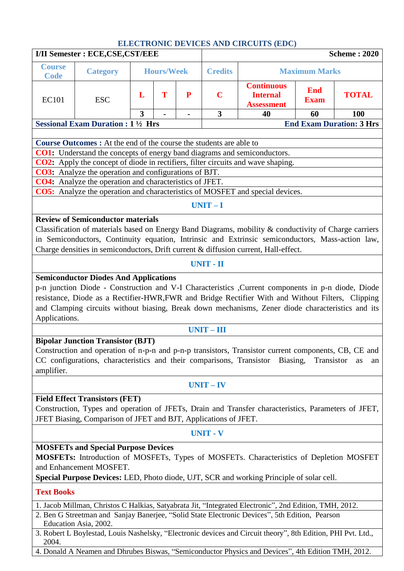## **ELECTRONIC DEVICES AND CIRCUITS (EDC)**

|                                                                                                                                                         | <b>I/II Semester : ECE, CSE, CST/EEE</b>                                                                         |   |                   |   |                |                                                                                                                  |                           | <b>Scheme: 2020</b>             |  |  |  |  |
|---------------------------------------------------------------------------------------------------------------------------------------------------------|------------------------------------------------------------------------------------------------------------------|---|-------------------|---|----------------|------------------------------------------------------------------------------------------------------------------|---------------------------|---------------------------------|--|--|--|--|
| <b>Course</b><br><b>Code</b>                                                                                                                            | <b>Category</b>                                                                                                  |   | <b>Hours/Week</b> |   | <b>Credits</b> |                                                                                                                  | <b>Maximum Marks</b>      |                                 |  |  |  |  |
| <b>EC101</b>                                                                                                                                            | <b>ESC</b>                                                                                                       | L | T                 | P | $\mathbf C$    | <b>Continuous</b><br><b>Internal</b><br><b>Assessment</b>                                                        | <b>End</b><br><b>Exam</b> | <b>TOTAL</b>                    |  |  |  |  |
|                                                                                                                                                         |                                                                                                                  | 3 |                   |   | $\mathbf{3}$   | 60<br>100<br>40                                                                                                  |                           |                                 |  |  |  |  |
|                                                                                                                                                         | <b>Sessional Exam Duration : 1 1/2 Hrs</b>                                                                       |   |                   |   |                |                                                                                                                  |                           | <b>End Exam Duration: 3 Hrs</b> |  |  |  |  |
|                                                                                                                                                         | <b>Course Outcomes:</b> At the end of the course the students are able to                                        |   |                   |   |                |                                                                                                                  |                           |                                 |  |  |  |  |
|                                                                                                                                                         | <b>CO1:</b> Understand the concepts of energy band diagrams and semiconductors.                                  |   |                   |   |                |                                                                                                                  |                           |                                 |  |  |  |  |
|                                                                                                                                                         |                                                                                                                  |   |                   |   |                |                                                                                                                  |                           |                                 |  |  |  |  |
| <b>CO2:</b> Apply the concept of diode in rectifiers, filter circuits and wave shaping.<br><b>CO3:</b> Analyze the operation and configurations of BJT. |                                                                                                                  |   |                   |   |                |                                                                                                                  |                           |                                 |  |  |  |  |
|                                                                                                                                                         | <b>CO4:</b> Analyze the operation and characteristics of JFET.                                                   |   |                   |   |                |                                                                                                                  |                           |                                 |  |  |  |  |
|                                                                                                                                                         |                                                                                                                  |   |                   |   |                |                                                                                                                  |                           |                                 |  |  |  |  |
|                                                                                                                                                         | <b>CO5:</b> Analyze the operation and characteristics of MOSFET and special devices.<br>$UNIT-I$                 |   |                   |   |                |                                                                                                                  |                           |                                 |  |  |  |  |
|                                                                                                                                                         |                                                                                                                  |   |                   |   |                |                                                                                                                  |                           |                                 |  |  |  |  |
| <b>Review of Semiconductor materials</b><br>Classification of materials based on Energy Band Diagrams, mobility & conductivity of Charge carriers       |                                                                                                                  |   |                   |   |                |                                                                                                                  |                           |                                 |  |  |  |  |
| in Semiconductors, Continuity equation, Intrinsic and Extrinsic semiconductors, Mass-action law,                                                        |                                                                                                                  |   |                   |   |                |                                                                                                                  |                           |                                 |  |  |  |  |
|                                                                                                                                                         |                                                                                                                  |   |                   |   |                | Charge densities in semiconductors, Drift current & diffusion current, Hall-effect.                              |                           |                                 |  |  |  |  |
| <b>UNIT - II</b>                                                                                                                                        |                                                                                                                  |   |                   |   |                |                                                                                                                  |                           |                                 |  |  |  |  |
|                                                                                                                                                         |                                                                                                                  |   |                   |   |                |                                                                                                                  |                           |                                 |  |  |  |  |
| <b>Semiconductor Diodes And Applications</b><br>p-n junction Diode - Construction and V-I Characteristics , Current components in p-n diode, Diode      |                                                                                                                  |   |                   |   |                |                                                                                                                  |                           |                                 |  |  |  |  |
|                                                                                                                                                         |                                                                                                                  |   |                   |   |                |                                                                                                                  |                           |                                 |  |  |  |  |
|                                                                                                                                                         |                                                                                                                  |   |                   |   |                | resistance, Diode as a Rectifier-HWR, FWR and Bridge Rectifier With and Without Filters, Clipping                |                           |                                 |  |  |  |  |
|                                                                                                                                                         |                                                                                                                  |   |                   |   |                | and Clamping circuits without biasing, Break down mechanisms, Zener diode characteristics and its                |                           |                                 |  |  |  |  |
| Applications.                                                                                                                                           |                                                                                                                  |   |                   |   |                |                                                                                                                  |                           |                                 |  |  |  |  |
|                                                                                                                                                         |                                                                                                                  |   |                   |   | $UNIT - III$   |                                                                                                                  |                           |                                 |  |  |  |  |
| amplifier.                                                                                                                                              | <b>Bipolar Junction Transistor (BJT)</b><br>CC configurations, characteristics and their comparisons, Transistor |   |                   |   |                | Construction and operation of n-p-n and p-n-p transistors, Transistor current components, CB, CE and<br>Biasing, | Transistor                | as<br>an                        |  |  |  |  |
|                                                                                                                                                         |                                                                                                                  |   |                   |   | $UNIT - IV$    |                                                                                                                  |                           |                                 |  |  |  |  |
|                                                                                                                                                         | <b>Field Effect Transistors (FET)</b>                                                                            |   |                   |   |                |                                                                                                                  |                           |                                 |  |  |  |  |
|                                                                                                                                                         |                                                                                                                  |   |                   |   |                | Construction, Types and operation of JFETs, Drain and Transfer characteristics, Parameters of JFET,              |                           |                                 |  |  |  |  |
| JFET Biasing, Comparison of JFET and BJT, Applications of JFET.                                                                                         |                                                                                                                  |   |                   |   |                |                                                                                                                  |                           |                                 |  |  |  |  |
| <b>UNIT - V</b>                                                                                                                                         |                                                                                                                  |   |                   |   |                |                                                                                                                  |                           |                                 |  |  |  |  |
| <b>MOSFETs and Special Purpose Devices</b>                                                                                                              |                                                                                                                  |   |                   |   |                |                                                                                                                  |                           |                                 |  |  |  |  |
|                                                                                                                                                         |                                                                                                                  |   |                   |   |                | MOSFETs: Introduction of MOSFETs, Types of MOSFETs. Characteristics of Depletion MOSFET                          |                           |                                 |  |  |  |  |
|                                                                                                                                                         | and Enhancement MOSFET.                                                                                          |   |                   |   |                |                                                                                                                  |                           |                                 |  |  |  |  |
|                                                                                                                                                         |                                                                                                                  |   |                   |   |                | Special Purpose Devices: LED, Photo diode, UJT, SCR and working Principle of solar cell.                         |                           |                                 |  |  |  |  |
| <b>Text Books</b>                                                                                                                                       |                                                                                                                  |   |                   |   |                |                                                                                                                  |                           |                                 |  |  |  |  |
|                                                                                                                                                         |                                                                                                                  |   |                   |   |                | 1. Jacob Millman, Christos C Halkias, Satyabrata Jit, "Integrated Electronic", 2nd Edition, TMH, 2012.           |                           |                                 |  |  |  |  |
|                                                                                                                                                         |                                                                                                                  |   |                   |   |                | 2. Den C Streetman and Sanjay Denarios "Solid State Flagmanic Davises" 5th Edition Dear                          |                           |                                 |  |  |  |  |

2. Ben G Streetman and Sanjay Banerjee, "Solid State Electronic Devices", 5th Edition, Pearson Education Asia, 2002.

3. Robert L Boylestad, Louis Nashelsky, "Electronic devices and Circuit theory", 8th Edition, PHI Pvt. Ltd., 2004.

4. Donald A Neamen and Dhrubes Biswas, "Semiconductor Physics and Devices", 4th Edition TMH, 2012.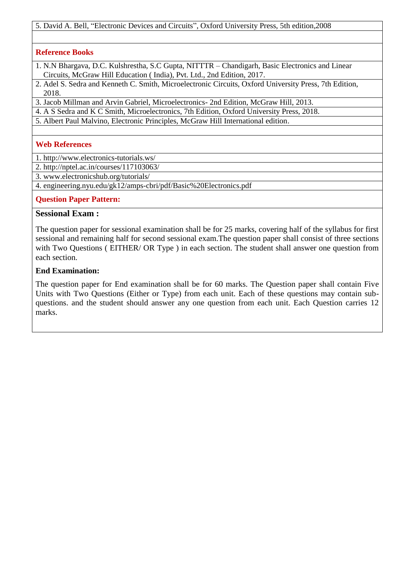5. David A. Bell, "Electronic Devices and Circuits", Oxford University Press, 5th edition,2008

### **Reference Books**

- 1. N.N Bhargava, D.C. Kulshrestha, S.C Gupta, NITTTR Chandigarh, Basic Electronics and Linear Circuits, McGraw Hill Education ( India), Pvt. Ltd., 2nd Edition, 2017.
- 2. Adel S. Sedra and Kenneth C. Smith, Microelectronic Circuits, Oxford University Press, 7th Edition, 2018.
- 3. Jacob Millman and Arvin Gabriel, Microelectronics- 2nd Edition, McGraw Hill, 2013.
- 4. A S Sedra and K C Smith, Microelectronics, 7th Edition, Oxford University Press, 2018.
- 5. Albert Paul Malvino, Electronic Principles, McGraw Hill International edition.

## **Web References**

1. http://www.electronics-tutorials.ws/

2. http://nptel.ac.in/courses/117103063/

3. www.electronicshub.org/tutorials/

4. engineering.nyu.edu/gk12/amps-cbri/pdf/Basic%20Electronics.pdf

### **Question Paper Pattern:**

### **Sessional Exam :**

The question paper for sessional examination shall be for 25 marks, covering half of the syllabus for first sessional and remaining half for second sessional exam.The question paper shall consist of three sections with Two Questions ( EITHER/ OR Type ) in each section. The student shall answer one question from each section.

### **End Examination:**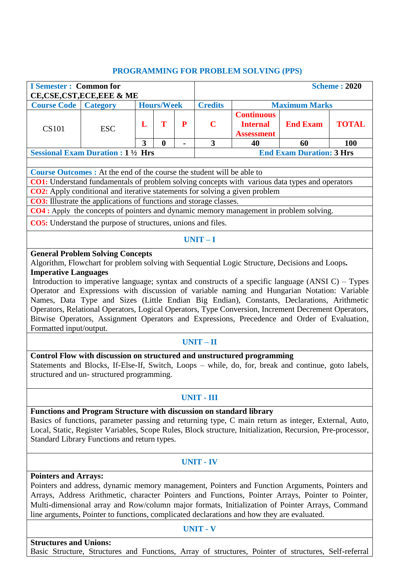## **PROGRAMMING FOR PROBLEM SOLVING (PPS)**

| <b>I Semester : Common for</b>                                                                                                                                                                                                                                                                                                                                                                                                                                                                                                                                                                                                                                                                                   | CE,CSE,CST,ECE,EEE & ME                                                                                                                                                                                                     |                         |                   |           |                         |                                                           |                                 | <b>Scheme: 2020</b> |  |  |  |
|------------------------------------------------------------------------------------------------------------------------------------------------------------------------------------------------------------------------------------------------------------------------------------------------------------------------------------------------------------------------------------------------------------------------------------------------------------------------------------------------------------------------------------------------------------------------------------------------------------------------------------------------------------------------------------------------------------------|-----------------------------------------------------------------------------------------------------------------------------------------------------------------------------------------------------------------------------|-------------------------|-------------------|-----------|-------------------------|-----------------------------------------------------------|---------------------------------|---------------------|--|--|--|
| <b>Course Code</b>   Category                                                                                                                                                                                                                                                                                                                                                                                                                                                                                                                                                                                                                                                                                    |                                                                                                                                                                                                                             |                         | <b>Hours/Week</b> |           | <b>Credits</b>          |                                                           | <b>Maximum Marks</b>            |                     |  |  |  |
| <b>CS101</b>                                                                                                                                                                                                                                                                                                                                                                                                                                                                                                                                                                                                                                                                                                     | <b>ESC</b>                                                                                                                                                                                                                  | L                       | T                 | ${\bf P}$ | $\mathbf C$             | <b>Continuous</b><br><b>Internal</b><br><b>Assessment</b> | <b>End Exam</b>                 | <b>TOTAL</b>        |  |  |  |
|                                                                                                                                                                                                                                                                                                                                                                                                                                                                                                                                                                                                                                                                                                                  |                                                                                                                                                                                                                             | $\overline{\mathbf{3}}$ | $\boldsymbol{0}$  |           | $\overline{\mathbf{3}}$ | 40                                                        | 60                              | 100                 |  |  |  |
|                                                                                                                                                                                                                                                                                                                                                                                                                                                                                                                                                                                                                                                                                                                  | <b>Sessional Exam Duration : 1 1/2 Hrs</b>                                                                                                                                                                                  |                         |                   |           |                         |                                                           | <b>End Exam Duration: 3 Hrs</b> |                     |  |  |  |
|                                                                                                                                                                                                                                                                                                                                                                                                                                                                                                                                                                                                                                                                                                                  | <b>Course Outcomes:</b> At the end of the course the student will be able to                                                                                                                                                |                         |                   |           |                         |                                                           |                                 |                     |  |  |  |
|                                                                                                                                                                                                                                                                                                                                                                                                                                                                                                                                                                                                                                                                                                                  | CO1: Understand fundamentals of problem solving concepts with various data types and operators                                                                                                                              |                         |                   |           |                         |                                                           |                                 |                     |  |  |  |
|                                                                                                                                                                                                                                                                                                                                                                                                                                                                                                                                                                                                                                                                                                                  |                                                                                                                                                                                                                             |                         |                   |           |                         |                                                           |                                 |                     |  |  |  |
|                                                                                                                                                                                                                                                                                                                                                                                                                                                                                                                                                                                                                                                                                                                  | CO2: Apply conditional and iterative statements for solving a given problem<br><b>CO3:</b> Illustrate the applications of functions and storage classes.                                                                    |                         |                   |           |                         |                                                           |                                 |                     |  |  |  |
| CO4 : Apply the concepts of pointers and dynamic memory management in problem solving.                                                                                                                                                                                                                                                                                                                                                                                                                                                                                                                                                                                                                           |                                                                                                                                                                                                                             |                         |                   |           |                         |                                                           |                                 |                     |  |  |  |
| <b>CO5:</b> Understand the purpose of structures, unions and files.                                                                                                                                                                                                                                                                                                                                                                                                                                                                                                                                                                                                                                              |                                                                                                                                                                                                                             |                         |                   |           |                         |                                                           |                                 |                     |  |  |  |
| $UNIT-I$                                                                                                                                                                                                                                                                                                                                                                                                                                                                                                                                                                                                                                                                                                         |                                                                                                                                                                                                                             |                         |                   |           |                         |                                                           |                                 |                     |  |  |  |
| <b>General Problem Solving Concepts</b><br>Algorithm, Flowchart for problem solving with Sequential Logic Structure, Decisions and Loops.<br><b>Imperative Languages</b><br>Introduction to imperative language; syntax and constructs of a specific language $(ANSI C) - Types$<br>Operator and Expressions with discussion of variable naming and Hungarian Notation: Variable<br>Names, Data Type and Sizes (Little Endian Big Endian), Constants, Declarations, Arithmetic<br>Operators, Relational Operators, Logical Operators, Type Conversion, Increment Decrement Operators,<br>Bitwise Operators, Assignment Operators and Expressions, Precedence and Order of Evaluation,<br>Formatted input/output. |                                                                                                                                                                                                                             |                         |                   |           |                         |                                                           |                                 |                     |  |  |  |
|                                                                                                                                                                                                                                                                                                                                                                                                                                                                                                                                                                                                                                                                                                                  |                                                                                                                                                                                                                             |                         |                   |           | $UNIT - II$             |                                                           |                                 |                     |  |  |  |
|                                                                                                                                                                                                                                                                                                                                                                                                                                                                                                                                                                                                                                                                                                                  | Control Flow with discussion on structured and unstructured programming<br>Statements and Blocks, If-Else-If, Switch, Loops – while, do, for, break and continue, goto labels,<br>structured and un-structured programming. |                         |                   |           |                         |                                                           |                                 |                     |  |  |  |
|                                                                                                                                                                                                                                                                                                                                                                                                                                                                                                                                                                                                                                                                                                                  |                                                                                                                                                                                                                             |                         |                   |           | UNIT - III              |                                                           |                                 |                     |  |  |  |
| Functions and Program Structure with discussion on standard library<br>Basics of functions, parameter passing and returning type, C main return as integer, External, Auto,<br>Local, Static, Register Variables, Scope Rules, Block structure, Initialization, Recursion, Pre-processor,<br>Standard Library Functions and return types.                                                                                                                                                                                                                                                                                                                                                                        |                                                                                                                                                                                                                             |                         |                   |           |                         |                                                           |                                 |                     |  |  |  |
| <b>UNIT - IV</b>                                                                                                                                                                                                                                                                                                                                                                                                                                                                                                                                                                                                                                                                                                 |                                                                                                                                                                                                                             |                         |                   |           |                         |                                                           |                                 |                     |  |  |  |
| <b>Pointers and Arrays:</b><br>Pointers and address, dynamic memory management, Pointers and Function Arguments, Pointers and<br>Arrays, Address Arithmetic, character Pointers and Functions, Pointer Arrays, Pointer to Pointer,<br>Multi-dimensional array and Row/column major formats, Initialization of Pointer Arrays, Command<br>line arguments, Pointer to functions, complicated declarations and how they are evaluated.                                                                                                                                                                                                                                                                              |                                                                                                                                                                                                                             |                         |                   |           |                         |                                                           |                                 |                     |  |  |  |
|                                                                                                                                                                                                                                                                                                                                                                                                                                                                                                                                                                                                                                                                                                                  |                                                                                                                                                                                                                             |                         |                   |           | <b>UNIT - V</b>         |                                                           |                                 |                     |  |  |  |
| <b>Structures and Unions:</b>                                                                                                                                                                                                                                                                                                                                                                                                                                                                                                                                                                                                                                                                                    |                                                                                                                                                                                                                             |                         |                   |           |                         |                                                           |                                 |                     |  |  |  |

Basic Structure, Structures and Functions, Array of structures, Pointer of structures, Self-referral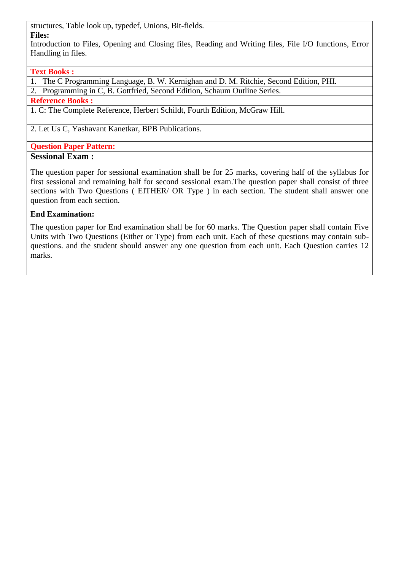structures, Table look up, typedef, Unions, Bit-fields.

## **Files:**

Introduction to Files, Opening and Closing files, Reading and Writing files, File I/O functions, Error Handling in files.

**Text Books :**

1. The C Programming Language, B. W. Kernighan and D. M. Ritchie, Second Edition, PHI.

2. Programming in C, B. Gottfried, Second Edition, Schaum Outline Series.

## **Reference Books :**

1. C: The Complete Reference, Herbert Schildt, Fourth Edition, McGraw Hill.

2. Let Us C, Yashavant Kanetkar, BPB Publications.

## **Question Paper Pattern:**

## **Sessional Exam :**

The question paper for sessional examination shall be for 25 marks, covering half of the syllabus for first sessional and remaining half for second sessional exam.The question paper shall consist of three sections with Two Questions ( EITHER/ OR Type ) in each section. The student shall answer one question from each section.

## **End Examination:**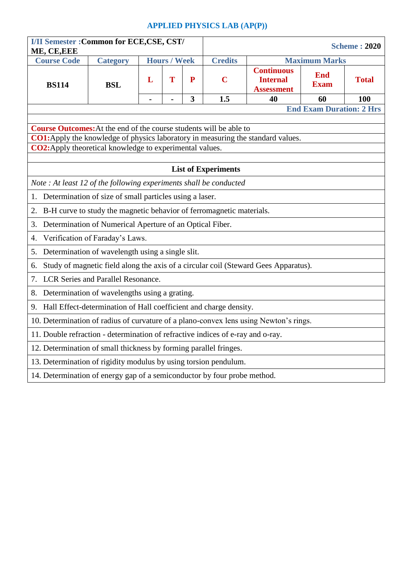## **APPLIED PHYSICS LAB (AP(P))**

| ME, CE, EEE                                                                                                                        | <b>I/II Semester : Common for ECE,CSE, CST/</b>                   |                |                     |   | <b>Scheme: 2020</b> |                                                                                     |                                 |              |  |  |  |
|------------------------------------------------------------------------------------------------------------------------------------|-------------------------------------------------------------------|----------------|---------------------|---|---------------------|-------------------------------------------------------------------------------------|---------------------------------|--------------|--|--|--|
| <b>Course Code</b>                                                                                                                 | <b>Category</b>                                                   |                | <b>Hours / Week</b> |   | <b>Credits</b>      |                                                                                     | <b>Maximum Marks</b>            |              |  |  |  |
| <b>BS114</b>                                                                                                                       | <b>BSL</b>                                                        | L              | T                   | P | $\mathbf C$         | <b>Continuous</b><br><b>Internal</b><br><b>Assessment</b>                           | <b>End</b><br><b>Exam</b>       | <b>Total</b> |  |  |  |
|                                                                                                                                    |                                                                   | $\blacksquare$ | ä,                  | 3 | 1.5                 | 40                                                                                  | 60                              | 100          |  |  |  |
|                                                                                                                                    |                                                                   |                |                     |   |                     |                                                                                     | <b>End Exam Duration: 2 Hrs</b> |              |  |  |  |
| <b>Course Outcomes:</b> At the end of the course students will be able to                                                          |                                                                   |                |                     |   |                     |                                                                                     |                                 |              |  |  |  |
| <b>CO1:</b> Apply the knowledge of physics laboratory in measuring the standard values.                                            |                                                                   |                |                     |   |                     |                                                                                     |                                 |              |  |  |  |
| CO2:Apply theoretical knowledge to experimental values.                                                                            |                                                                   |                |                     |   |                     |                                                                                     |                                 |              |  |  |  |
| <b>List of Experiments</b>                                                                                                         |                                                                   |                |                     |   |                     |                                                                                     |                                 |              |  |  |  |
|                                                                                                                                    |                                                                   |                |                     |   |                     |                                                                                     |                                 |              |  |  |  |
| Note: At least 12 of the following experiments shall be conducted                                                                  |                                                                   |                |                     |   |                     |                                                                                     |                                 |              |  |  |  |
| 1. Determination of size of small particles using a laser.<br>B-H curve to study the magnetic behavior of ferromagnetic materials. |                                                                   |                |                     |   |                     |                                                                                     |                                 |              |  |  |  |
| 2.                                                                                                                                 |                                                                   |                |                     |   |                     |                                                                                     |                                 |              |  |  |  |
| 3.                                                                                                                                 | Determination of Numerical Aperture of an Optical Fiber.          |                |                     |   |                     |                                                                                     |                                 |              |  |  |  |
| 4.                                                                                                                                 | Verification of Faraday's Laws.                                   |                |                     |   |                     |                                                                                     |                                 |              |  |  |  |
| 5.                                                                                                                                 | Determination of wavelength using a single slit.                  |                |                     |   |                     |                                                                                     |                                 |              |  |  |  |
| 6.                                                                                                                                 |                                                                   |                |                     |   |                     | Study of magnetic field along the axis of a circular coil (Steward Gees Apparatus). |                                 |              |  |  |  |
| 7.                                                                                                                                 | <b>LCR</b> Series and Parallel Resonance.                         |                |                     |   |                     |                                                                                     |                                 |              |  |  |  |
| 8.                                                                                                                                 | Determination of wavelengths using a grating.                     |                |                     |   |                     |                                                                                     |                                 |              |  |  |  |
| 9.                                                                                                                                 | Hall Effect-determination of Hall coefficient and charge density. |                |                     |   |                     |                                                                                     |                                 |              |  |  |  |
| 10. Determination of radius of curvature of a plano-convex lens using Newton's rings.                                              |                                                                   |                |                     |   |                     |                                                                                     |                                 |              |  |  |  |
| 11. Double refraction - determination of refractive indices of e-ray and o-ray.                                                    |                                                                   |                |                     |   |                     |                                                                                     |                                 |              |  |  |  |
| 12. Determination of small thickness by forming parallel fringes.                                                                  |                                                                   |                |                     |   |                     |                                                                                     |                                 |              |  |  |  |
| 13. Determination of rigidity modulus by using torsion pendulum.                                                                   |                                                                   |                |                     |   |                     |                                                                                     |                                 |              |  |  |  |
| 14. Determination of energy gap of a semiconductor by four probe method.                                                           |                                                                   |                |                     |   |                     |                                                                                     |                                 |              |  |  |  |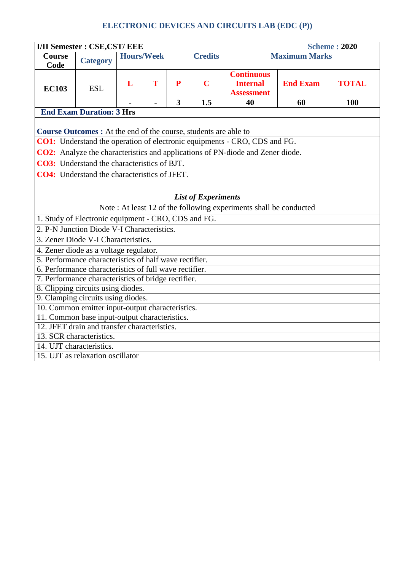## **ELECTRONIC DEVICES AND CIRCUITS LAB (EDC (P))**

|                                                                                                   | <b>I/II Semester : CSE, CST/ EEE</b>                                     |                   |   |   |                                                                                                             |                                                                                |                      | <b>Scheme: 2020</b> |  |  |  |  |
|---------------------------------------------------------------------------------------------------|--------------------------------------------------------------------------|-------------------|---|---|-------------------------------------------------------------------------------------------------------------|--------------------------------------------------------------------------------|----------------------|---------------------|--|--|--|--|
| <b>Course</b><br>Code                                                                             | <b>Category</b>                                                          | <b>Hours/Week</b> |   |   | <b>Credits</b>                                                                                              |                                                                                | <b>Maximum Marks</b> |                     |  |  |  |  |
| <b>EC103</b>                                                                                      | <b>ESL</b>                                                               | L                 | T | P | <b>Continuous</b><br>$\mathbf C$<br><b>Internal</b><br><b>End Exam</b><br><b>TOTAL</b><br><b>Assessment</b> |                                                                                |                      |                     |  |  |  |  |
|                                                                                                   |                                                                          |                   |   | 3 | 1.5                                                                                                         | 40                                                                             | 60                   | 100                 |  |  |  |  |
|                                                                                                   | <b>End Exam Duration: 3 Hrs</b>                                          |                   |   |   |                                                                                                             |                                                                                |                      |                     |  |  |  |  |
|                                                                                                   | <b>Course Outcomes :</b> At the end of the course, students are able to  |                   |   |   |                                                                                                             |                                                                                |                      |                     |  |  |  |  |
|                                                                                                   |                                                                          |                   |   |   |                                                                                                             | CO1: Understand the operation of electronic equipments - CRO, CDS and FG.      |                      |                     |  |  |  |  |
|                                                                                                   |                                                                          |                   |   |   |                                                                                                             | CO2: Analyze the characteristics and applications of PN-diode and Zener diode. |                      |                     |  |  |  |  |
|                                                                                                   | <b>CO3:</b> Understand the characteristics of BJT.                       |                   |   |   |                                                                                                             |                                                                                |                      |                     |  |  |  |  |
|                                                                                                   |                                                                          |                   |   |   |                                                                                                             |                                                                                |                      |                     |  |  |  |  |
|                                                                                                   | <b>CO4:</b> Understand the characteristics of JFET.                      |                   |   |   |                                                                                                             |                                                                                |                      |                     |  |  |  |  |
|                                                                                                   |                                                                          |                   |   |   |                                                                                                             |                                                                                |                      |                     |  |  |  |  |
| <b>List of Experiments</b><br>Note: At least 12 of the following experiments shall be conducted   |                                                                          |                   |   |   |                                                                                                             |                                                                                |                      |                     |  |  |  |  |
|                                                                                                   |                                                                          |                   |   |   |                                                                                                             |                                                                                |                      |                     |  |  |  |  |
|                                                                                                   | 1. Study of Electronic equipment - CRO, CDS and FG.                      |                   |   |   |                                                                                                             |                                                                                |                      |                     |  |  |  |  |
|                                                                                                   | 2. P-N Junction Diode V-I Characteristics.                               |                   |   |   |                                                                                                             |                                                                                |                      |                     |  |  |  |  |
|                                                                                                   | 3. Zener Diode V-I Characteristics.                                      |                   |   |   |                                                                                                             |                                                                                |                      |                     |  |  |  |  |
|                                                                                                   | 4. Zener diode as a voltage regulator.                                   |                   |   |   |                                                                                                             |                                                                                |                      |                     |  |  |  |  |
|                                                                                                   | 5. Performance characteristics of half wave rectifier.                   |                   |   |   |                                                                                                             |                                                                                |                      |                     |  |  |  |  |
|                                                                                                   | 6. Performance characteristics of full wave rectifier.                   |                   |   |   |                                                                                                             |                                                                                |                      |                     |  |  |  |  |
|                                                                                                   | 7. Performance characteristics of bridge rectifier.                      |                   |   |   |                                                                                                             |                                                                                |                      |                     |  |  |  |  |
|                                                                                                   | 8. Clipping circuits using diodes.<br>9. Clamping circuits using diodes. |                   |   |   |                                                                                                             |                                                                                |                      |                     |  |  |  |  |
|                                                                                                   |                                                                          |                   |   |   |                                                                                                             |                                                                                |                      |                     |  |  |  |  |
| 10. Common emitter input-output characteristics.<br>11. Common base input-output characteristics. |                                                                          |                   |   |   |                                                                                                             |                                                                                |                      |                     |  |  |  |  |
|                                                                                                   | 12. JFET drain and transfer characteristics.                             |                   |   |   |                                                                                                             |                                                                                |                      |                     |  |  |  |  |
|                                                                                                   | 13. SCR characteristics.                                                 |                   |   |   |                                                                                                             |                                                                                |                      |                     |  |  |  |  |
| 14. UJT characteristics.                                                                          |                                                                          |                   |   |   |                                                                                                             |                                                                                |                      |                     |  |  |  |  |
|                                                                                                   | 15. UJT as relaxation oscillator                                         |                   |   |   |                                                                                                             |                                                                                |                      |                     |  |  |  |  |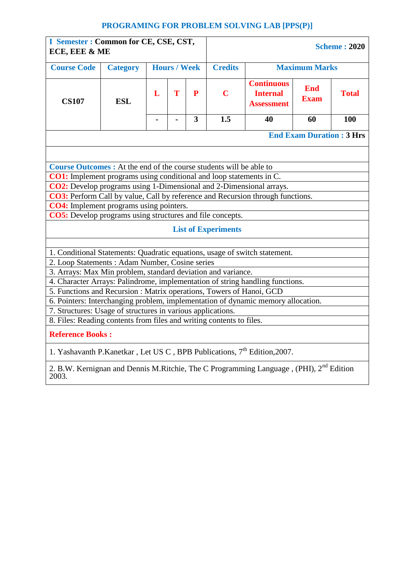## **PROGRAMING FOR PROBLEM SOLVING LAB [PPS(P)]**

| I Semester : Common for CE, CSE, CST,<br>ECE, EEE & ME                                                                                                                                                                                                                                                                                                                                                                                                                                                                                                                           |                 |                     |  |                         | <b>Scheme: 2020</b>                                       |                           |                      |     |  |  |  |
|----------------------------------------------------------------------------------------------------------------------------------------------------------------------------------------------------------------------------------------------------------------------------------------------------------------------------------------------------------------------------------------------------------------------------------------------------------------------------------------------------------------------------------------------------------------------------------|-----------------|---------------------|--|-------------------------|-----------------------------------------------------------|---------------------------|----------------------|-----|--|--|--|
| <b>Course Code</b>                                                                                                                                                                                                                                                                                                                                                                                                                                                                                                                                                               | <b>Category</b> | <b>Hours / Week</b> |  |                         | <b>Credits</b>                                            |                           | <b>Maximum Marks</b> |     |  |  |  |
| <b>CS107</b>                                                                                                                                                                                                                                                                                                                                                                                                                                                                                                                                                                     | <b>ESL</b>      | T<br>${\bf P}$<br>L |  | $\overline{\mathbf{C}}$ | <b>Continuous</b><br><b>Internal</b><br><b>Assessment</b> | <b>End</b><br><b>Exam</b> | <b>Total</b>         |     |  |  |  |
|                                                                                                                                                                                                                                                                                                                                                                                                                                                                                                                                                                                  |                 |                     |  | 3                       | 1.5                                                       | 40                        | 60                   | 100 |  |  |  |
| <b>End Exam Duration: 3 Hrs</b>                                                                                                                                                                                                                                                                                                                                                                                                                                                                                                                                                  |                 |                     |  |                         |                                                           |                           |                      |     |  |  |  |
| <b>Course Outcomes :</b> At the end of the course students will be able to<br>CO1: Implement programs using conditional and loop statements in C.<br><b>CO2:</b> Develop programs using 1-Dimensional and 2-Dimensional arrays.<br><b>CO3:</b> Perform Call by value, Call by reference and Recursion through functions.<br><b>CO4:</b> Implement programs using pointers.<br><b>CO5:</b> Develop programs using structures and file concepts.<br><b>List of Experiments</b>                                                                                                     |                 |                     |  |                         |                                                           |                           |                      |     |  |  |  |
| 1. Conditional Statements: Quadratic equations, usage of switch statement.<br>2. Loop Statements: Adam Number, Cosine series<br>3. Arrays: Max Min problem, standard deviation and variance.<br>4. Character Arrays: Palindrome, implementation of string handling functions.<br>5. Functions and Recursion : Matrix operations, Towers of Hanoi, GCD<br>6. Pointers: Interchanging problem, implementation of dynamic memory allocation.<br>7. Structures: Usage of structures in various applications.<br>8. Files: Reading contents from files and writing contents to files. |                 |                     |  |                         |                                                           |                           |                      |     |  |  |  |
| <b>Reference Books:</b>                                                                                                                                                                                                                                                                                                                                                                                                                                                                                                                                                          |                 |                     |  |                         |                                                           |                           |                      |     |  |  |  |

1. Yashavanth P.Kanetkar, Let US C, BPB Publications,  $7<sup>th</sup>$  Edition, 2007.

2. B.W. Kernignan and Dennis M.Ritchie, The C Programming Language, (PHI),  $2^{nd}$  Edition 2003.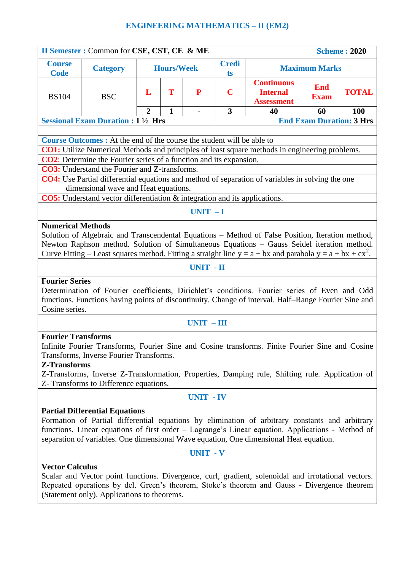## **ENGINEERING MATHEMATICS – II (EM2)**

|                                                                                                                                                                                                                                                                                                                                                            | II Semester : Common for CSE, CST, CE & ME                                        |                |                   |                  |                    |                                                                                                                                                                                                       |                                 | <b>Scheme: 2020</b> |  |  |  |  |
|------------------------------------------------------------------------------------------------------------------------------------------------------------------------------------------------------------------------------------------------------------------------------------------------------------------------------------------------------------|-----------------------------------------------------------------------------------|----------------|-------------------|------------------|--------------------|-------------------------------------------------------------------------------------------------------------------------------------------------------------------------------------------------------|---------------------------------|---------------------|--|--|--|--|
| <b>Course</b><br><b>Code</b>                                                                                                                                                                                                                                                                                                                               | <b>Category</b>                                                                   |                | <b>Hours/Week</b> |                  | <b>Credi</b><br>ts |                                                                                                                                                                                                       | <b>Maximum Marks</b>            |                     |  |  |  |  |
| <b>BS104</b>                                                                                                                                                                                                                                                                                                                                               | <b>BSC</b>                                                                        | L              | T                 | P                | $\mathbf C$        | <b>Continuous</b><br><b>Internal</b><br><b>Assessment</b>                                                                                                                                             | <b>End</b><br><b>Exam</b>       | <b>TOTAL</b>        |  |  |  |  |
|                                                                                                                                                                                                                                                                                                                                                            |                                                                                   | $\overline{2}$ | $\mathbf{1}$      | ä,               | 3                  | 40                                                                                                                                                                                                    | 60                              | <b>100</b>          |  |  |  |  |
|                                                                                                                                                                                                                                                                                                                                                            | <b>Sessional Exam Duration : 1 1/2 Hrs</b>                                        |                |                   |                  |                    |                                                                                                                                                                                                       | <b>End Exam Duration: 3 Hrs</b> |                     |  |  |  |  |
|                                                                                                                                                                                                                                                                                                                                                            |                                                                                   |                |                   |                  |                    |                                                                                                                                                                                                       |                                 |                     |  |  |  |  |
|                                                                                                                                                                                                                                                                                                                                                            | <b>Course Outcomes:</b> At the end of the course the student will be able to      |                |                   |                  |                    |                                                                                                                                                                                                       |                                 |                     |  |  |  |  |
|                                                                                                                                                                                                                                                                                                                                                            |                                                                                   |                |                   |                  |                    | <b>CO1:</b> Utilize Numerical Methods and principles of least square methods in engineering problems.                                                                                                 |                                 |                     |  |  |  |  |
| <b>CO2</b> : Determine the Fourier series of a function and its expansion.<br><b>CO3:</b> Understand the Fourier and Z-transforms.                                                                                                                                                                                                                         |                                                                                   |                |                   |                  |                    |                                                                                                                                                                                                       |                                 |                     |  |  |  |  |
|                                                                                                                                                                                                                                                                                                                                                            |                                                                                   |                |                   |                  |                    |                                                                                                                                                                                                       |                                 |                     |  |  |  |  |
| CO4: Use Partial differential equations and method of separation of variables in solving the one<br>dimensional wave and Heat equations.                                                                                                                                                                                                                   |                                                                                   |                |                   |                  |                    |                                                                                                                                                                                                       |                                 |                     |  |  |  |  |
|                                                                                                                                                                                                                                                                                                                                                            | <b>CO5:</b> Understand vector differentiation & integration and its applications. |                |                   |                  |                    |                                                                                                                                                                                                       |                                 |                     |  |  |  |  |
| $UNIT - I$                                                                                                                                                                                                                                                                                                                                                 |                                                                                   |                |                   |                  |                    |                                                                                                                                                                                                       |                                 |                     |  |  |  |  |
|                                                                                                                                                                                                                                                                                                                                                            |                                                                                   |                |                   |                  |                    |                                                                                                                                                                                                       |                                 |                     |  |  |  |  |
| <b>Numerical Methods</b><br>Solution of Algebraic and Transcendental Equations - Method of False Position, Iteration method,<br>Newton Raphson method. Solution of Simultaneous Equations - Gauss Seidel iteration method.<br>Curve Fitting – Least squares method. Fitting a straight line $y = a + bx$ and parabola $y = a + bx + cx^2$ .                |                                                                                   |                |                   |                  |                    |                                                                                                                                                                                                       |                                 |                     |  |  |  |  |
| <b>UNIT - II</b>                                                                                                                                                                                                                                                                                                                                           |                                                                                   |                |                   |                  |                    |                                                                                                                                                                                                       |                                 |                     |  |  |  |  |
| <b>Fourier Series</b>                                                                                                                                                                                                                                                                                                                                      |                                                                                   |                |                   |                  |                    |                                                                                                                                                                                                       |                                 |                     |  |  |  |  |
| Cosine series.                                                                                                                                                                                                                                                                                                                                             |                                                                                   |                |                   |                  |                    | Determination of Fourier coefficients, Dirichlet's conditions. Fourier series of Even and Odd<br>functions. Functions having points of discontinuity. Change of interval. Half–Range Fourier Sine and |                                 |                     |  |  |  |  |
|                                                                                                                                                                                                                                                                                                                                                            |                                                                                   |                |                   | $UNIT - III$     |                    |                                                                                                                                                                                                       |                                 |                     |  |  |  |  |
| <b>Fourier Transforms</b><br>Infinite Fourier Transforms, Fourier Sine and Cosine transforms. Finite Fourier Sine and Cosine<br>Transforms, Inverse Fourier Transforms.<br><b>Z-Transforms</b><br>Z-Transforms, Inverse Z-Transformation, Properties, Damping rule, Shifting rule. Application of<br>Z- Transforms to Difference equations.                |                                                                                   |                |                   |                  |                    |                                                                                                                                                                                                       |                                 |                     |  |  |  |  |
|                                                                                                                                                                                                                                                                                                                                                            |                                                                                   |                |                   | <b>UNIT - IV</b> |                    |                                                                                                                                                                                                       |                                 |                     |  |  |  |  |
| <b>Partial Differential Equations</b><br>Formation of Partial differential equations by elimination of arbitrary constants and arbitrary<br>functions. Linear equations of first order – Lagrange's Linear equation. Applications - Method of<br>separation of variables. One dimensional Wave equation, One dimensional Heat equation.<br><b>UNIT - V</b> |                                                                                   |                |                   |                  |                    |                                                                                                                                                                                                       |                                 |                     |  |  |  |  |
| <b>Vector Calculus</b>                                                                                                                                                                                                                                                                                                                                     |                                                                                   |                |                   |                  |                    |                                                                                                                                                                                                       |                                 |                     |  |  |  |  |
| Scalar and Vector point functions. Divergence, curl, gradient, solenoidal and irrotational vectors.<br>Repeated operations by del. Green's theorem, Stoke's theorem and Gauss - Divergence theorem<br>(Statement only). Applications to theorems.                                                                                                          |                                                                                   |                |                   |                  |                    |                                                                                                                                                                                                       |                                 |                     |  |  |  |  |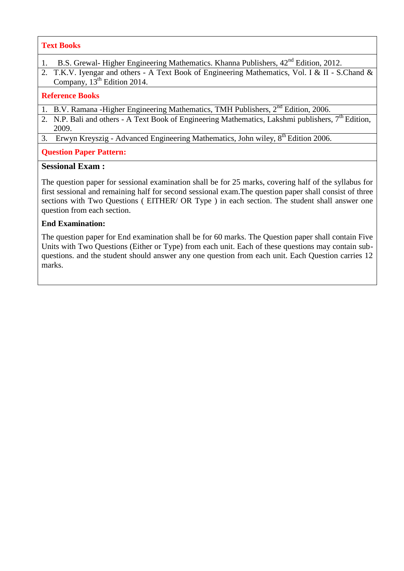## **Text Books**

- 1. B.S. Grewal- Higher Engineering Mathematics. Khanna Publishers,  $42<sup>nd</sup>$  Edition, 2012.
- 2. T.K.V. Iyengar and others A Text Book of Engineering Mathematics, Vol. I & II S.Chand & Company,  $13^{th}$  Edition 2014.

## **Reference Books**

- 1. B.V. Ramana -Higher Engineering Mathematics, TMH Publishers, 2nd Edition, 2006.
- 2. N.P. Bali and others A Text Book of Engineering Mathematics, Lakshmi publishers,  $7<sup>th</sup>$  Edition, 2009.
- 3. Erwyn Kreyszig Advanced Engineering Mathematics, John wiley, 8<sup>th</sup> Edition 2006.

### **Question Paper Pattern:**

## **Sessional Exam :**

The question paper for sessional examination shall be for 25 marks, covering half of the syllabus for first sessional and remaining half for second sessional exam.The question paper shall consist of three sections with Two Questions ( EITHER/ OR Type ) in each section. The student shall answer one question from each section.

## **End Examination:**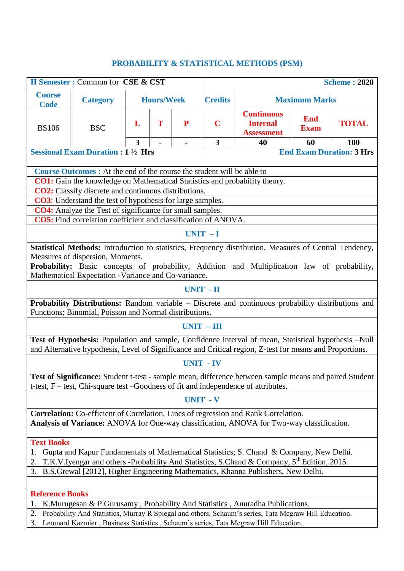# **PROBABILITY & STATISTICAL METHODS (PSM)**

|                                                                                                                                          | <b>II Semester: Common for CSE &amp; CST</b>                                                                                                                                                |                         |                   |    |                 |                                                                                                                                                                                                                  |                           | <b>Scheme: 2020</b>             |  |  |  |
|------------------------------------------------------------------------------------------------------------------------------------------|---------------------------------------------------------------------------------------------------------------------------------------------------------------------------------------------|-------------------------|-------------------|----|-----------------|------------------------------------------------------------------------------------------------------------------------------------------------------------------------------------------------------------------|---------------------------|---------------------------------|--|--|--|
| <b>Course</b><br><b>Code</b>                                                                                                             | <b>Category</b>                                                                                                                                                                             |                         | <b>Hours/Week</b> |    | <b>Credits</b>  |                                                                                                                                                                                                                  | <b>Maximum Marks</b>      |                                 |  |  |  |
| <b>BS106</b>                                                                                                                             | <b>BSC</b>                                                                                                                                                                                  | L                       | T                 | P  | $\mathbf C$     | <b>Continuous</b><br><b>Internal</b><br><b>Assessment</b>                                                                                                                                                        | <b>End</b><br><b>Exam</b> | <b>TOTAL</b>                    |  |  |  |
|                                                                                                                                          |                                                                                                                                                                                             | $\overline{\mathbf{3}}$ |                   | Ξ. | $\mathbf{3}$    | 40                                                                                                                                                                                                               | 60                        | 100                             |  |  |  |
|                                                                                                                                          | <b>Sessional Exam Duration : 1 1/2 Hrs</b>                                                                                                                                                  |                         |                   |    |                 |                                                                                                                                                                                                                  |                           | <b>End Exam Duration: 3 Hrs</b> |  |  |  |
|                                                                                                                                          |                                                                                                                                                                                             |                         |                   |    |                 |                                                                                                                                                                                                                  |                           |                                 |  |  |  |
|                                                                                                                                          | <b>Course Outcomes :</b> At the end of the course the student will be able to                                                                                                               |                         |                   |    |                 |                                                                                                                                                                                                                  |                           |                                 |  |  |  |
|                                                                                                                                          | CO1: Gain the knowledge on Mathematical Statistics and probability theory.                                                                                                                  |                         |                   |    |                 |                                                                                                                                                                                                                  |                           |                                 |  |  |  |
|                                                                                                                                          | <b>CO2:</b> Classify discrete and continuous distributions.<br><b>CO3</b> : Understand the test of hypothesis for large samples.                                                            |                         |                   |    |                 |                                                                                                                                                                                                                  |                           |                                 |  |  |  |
|                                                                                                                                          |                                                                                                                                                                                             |                         |                   |    |                 |                                                                                                                                                                                                                  |                           |                                 |  |  |  |
| <b>CO4:</b> Analyze the Test of significance for small samples.<br><b>CO5:</b> Find correlation coefficient and classification of ANOVA. |                                                                                                                                                                                             |                         |                   |    |                 |                                                                                                                                                                                                                  |                           |                                 |  |  |  |
|                                                                                                                                          |                                                                                                                                                                                             |                         |                   |    |                 |                                                                                                                                                                                                                  |                           |                                 |  |  |  |
| $UNIT - I$                                                                                                                               |                                                                                                                                                                                             |                         |                   |    |                 |                                                                                                                                                                                                                  |                           |                                 |  |  |  |
| Statistical Methods: Introduction to statistics, Frequency distribution, Measures of Central Tendency,                                   |                                                                                                                                                                                             |                         |                   |    |                 |                                                                                                                                                                                                                  |                           |                                 |  |  |  |
| Measures of dispersion, Moments.                                                                                                         |                                                                                                                                                                                             |                         |                   |    |                 |                                                                                                                                                                                                                  |                           |                                 |  |  |  |
| Probability: Basic concepts of probability, Addition and Multiplication law of probability,                                              |                                                                                                                                                                                             |                         |                   |    |                 |                                                                                                                                                                                                                  |                           |                                 |  |  |  |
| Mathematical Expectation - Variance and Co-variance.                                                                                     |                                                                                                                                                                                             |                         |                   |    |                 |                                                                                                                                                                                                                  |                           |                                 |  |  |  |
| <b>UNIT - II</b>                                                                                                                         |                                                                                                                                                                                             |                         |                   |    |                 |                                                                                                                                                                                                                  |                           |                                 |  |  |  |
|                                                                                                                                          | Functions; Binomial, Poisson and Normal distributions.                                                                                                                                      |                         |                   |    |                 | <b>Probability Distributions:</b> Random variable – Discrete and continuous probability distributions and                                                                                                        |                           |                                 |  |  |  |
|                                                                                                                                          |                                                                                                                                                                                             |                         |                   |    | $UNIT - III$    |                                                                                                                                                                                                                  |                           |                                 |  |  |  |
|                                                                                                                                          |                                                                                                                                                                                             |                         |                   |    |                 | Test of Hypothesis: Population and sample, Confidence interval of mean, Statistical hypothesis -Null<br>and Alternative hypothesis, Level of Significance and Critical region, Z-test for means and Proportions. |                           |                                 |  |  |  |
|                                                                                                                                          |                                                                                                                                                                                             |                         |                   |    | UNIT - IV       |                                                                                                                                                                                                                  |                           |                                 |  |  |  |
|                                                                                                                                          | t-test, $F$ – test, Chi-square test –Goodness of fit and independence of attributes.                                                                                                        |                         |                   |    |                 | Test of Significance: Student t-test - sample mean, difference between sample means and paired Student                                                                                                           |                           |                                 |  |  |  |
|                                                                                                                                          |                                                                                                                                                                                             |                         |                   |    | <b>UNIT - V</b> |                                                                                                                                                                                                                  |                           |                                 |  |  |  |
|                                                                                                                                          |                                                                                                                                                                                             |                         |                   |    |                 | Correlation: Co-efficient of Correlation, Lines of regression and Rank Correlation.<br>Analysis of Variance: ANOVA for One-way classification, ANOVA for Two-way classification.                                 |                           |                                 |  |  |  |
|                                                                                                                                          |                                                                                                                                                                                             |                         |                   |    |                 |                                                                                                                                                                                                                  |                           |                                 |  |  |  |
| <b>Text Books</b>                                                                                                                        |                                                                                                                                                                                             |                         |                   |    |                 |                                                                                                                                                                                                                  |                           |                                 |  |  |  |
| Gupta and Kapur Fundamentals of Mathematical Statistics; S. Chand & Company, New Delhi.<br>1.                                            |                                                                                                                                                                                             |                         |                   |    |                 |                                                                                                                                                                                                                  |                           |                                 |  |  |  |
| 2.                                                                                                                                       |                                                                                                                                                                                             |                         |                   |    |                 | T.K.V.Iyengar and others -Probability And Statistics, S.Chand & Company, 5 <sup>th</sup> Edition, 2015.                                                                                                          |                           |                                 |  |  |  |
| 3.                                                                                                                                       |                                                                                                                                                                                             |                         |                   |    |                 | B.S.Grewal [2012], Higher Engineering Mathematics, Khanna Publishers, New Delhi.                                                                                                                                 |                           |                                 |  |  |  |
|                                                                                                                                          |                                                                                                                                                                                             |                         |                   |    |                 |                                                                                                                                                                                                                  |                           |                                 |  |  |  |
| <b>Reference Books</b>                                                                                                                   |                                                                                                                                                                                             |                         |                   |    |                 |                                                                                                                                                                                                                  |                           |                                 |  |  |  |
| 1.                                                                                                                                       |                                                                                                                                                                                             |                         |                   |    |                 | K.Murugesan & P.Gurusamy, Probability And Statistics, Anuradha Publications.                                                                                                                                     |                           |                                 |  |  |  |
| 2.                                                                                                                                       |                                                                                                                                                                                             |                         |                   |    |                 |                                                                                                                                                                                                                  |                           |                                 |  |  |  |
| 3.                                                                                                                                       | Probability And Statistics, Murray R Spiegal and others, Schaum's series, Tata Mcgraw Hill Education.<br>Leomard Kazmier, Business Statistics, Schaum's series, Tata Mcgraw Hill Education. |                         |                   |    |                 |                                                                                                                                                                                                                  |                           |                                 |  |  |  |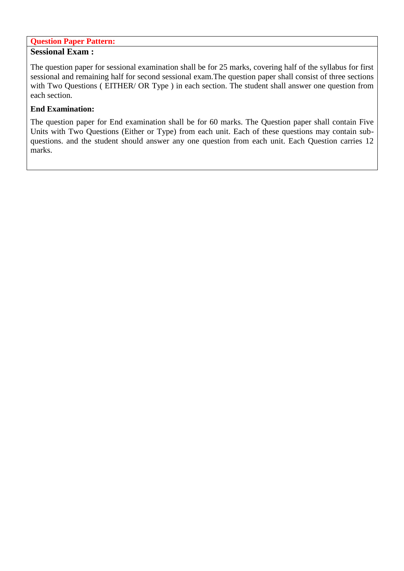# **Question Paper Pattern:**

## **Sessional Exam :**

The question paper for sessional examination shall be for 25 marks, covering half of the syllabus for first sessional and remaining half for second sessional exam.The question paper shall consist of three sections with Two Questions (EITHER/ OR Type) in each section. The student shall answer one question from each section.

## **End Examination:**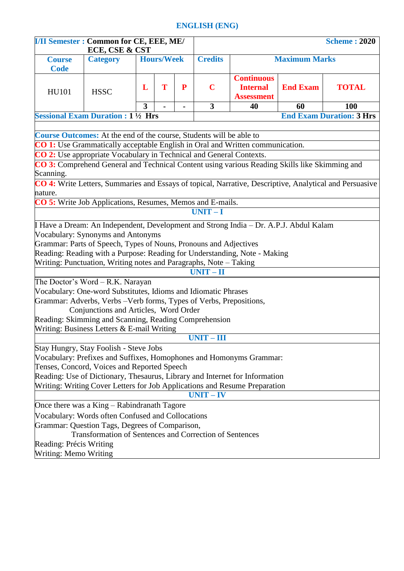## **ENGLISH (ENG)**

| <b>I/II Semester: Common for CE, EEE, ME/</b><br>ECE, CSE & CST                                                                                                                                                                                                                                                                                                                                                                                                                                                                                                                                                                                                                             |                                                                                                                                                                                                                                          |        | <b>Scheme: 2020</b> |                     |                  |                                                                 |                       |                                 |  |  |
|---------------------------------------------------------------------------------------------------------------------------------------------------------------------------------------------------------------------------------------------------------------------------------------------------------------------------------------------------------------------------------------------------------------------------------------------------------------------------------------------------------------------------------------------------------------------------------------------------------------------------------------------------------------------------------------------|------------------------------------------------------------------------------------------------------------------------------------------------------------------------------------------------------------------------------------------|--------|---------------------|---------------------|------------------|-----------------------------------------------------------------|-----------------------|---------------------------------|--|--|
| <b>Course</b><br><b>Code</b>                                                                                                                                                                                                                                                                                                                                                                                                                                                                                                                                                                                                                                                                | <b>Category</b>                                                                                                                                                                                                                          |        | <b>Hours/Week</b>   |                     | <b>Credits</b>   |                                                                 | <b>Maximum Marks</b>  |                                 |  |  |
| <b>HU101</b>                                                                                                                                                                                                                                                                                                                                                                                                                                                                                                                                                                                                                                                                                | <b>HSSC</b>                                                                                                                                                                                                                              | L<br>3 | T<br>$\blacksquare$ | P<br>$\blacksquare$ | $\mathbf C$<br>3 | <b>Continuous</b><br><b>Internal</b><br><b>Assessment</b><br>40 | <b>End Exam</b><br>60 | <b>TOTAL</b><br>100             |  |  |
|                                                                                                                                                                                                                                                                                                                                                                                                                                                                                                                                                                                                                                                                                             | <b>Sessional Exam Duration : 1 1/2 Hrs</b>                                                                                                                                                                                               |        |                     |                     |                  |                                                                 |                       | <b>End Exam Duration: 3 Hrs</b> |  |  |
|                                                                                                                                                                                                                                                                                                                                                                                                                                                                                                                                                                                                                                                                                             |                                                                                                                                                                                                                                          |        |                     |                     |                  |                                                                 |                       |                                 |  |  |
|                                                                                                                                                                                                                                                                                                                                                                                                                                                                                                                                                                                                                                                                                             | Course Outcomes: At the end of the course, Students will be able to                                                                                                                                                                      |        |                     |                     |                  |                                                                 |                       |                                 |  |  |
|                                                                                                                                                                                                                                                                                                                                                                                                                                                                                                                                                                                                                                                                                             | CO 1: Use Grammatically acceptable English in Oral and Written communication.                                                                                                                                                            |        |                     |                     |                  |                                                                 |                       |                                 |  |  |
|                                                                                                                                                                                                                                                                                                                                                                                                                                                                                                                                                                                                                                                                                             | CO 2: Use appropriate Vocabulary in Technical and General Contexts.                                                                                                                                                                      |        |                     |                     |                  |                                                                 |                       |                                 |  |  |
|                                                                                                                                                                                                                                                                                                                                                                                                                                                                                                                                                                                                                                                                                             | CO 3: Comprehend General and Technical Content using various Reading Skills like Skimming and                                                                                                                                            |        |                     |                     |                  |                                                                 |                       |                                 |  |  |
| Scanning.                                                                                                                                                                                                                                                                                                                                                                                                                                                                                                                                                                                                                                                                                   |                                                                                                                                                                                                                                          |        |                     |                     |                  |                                                                 |                       |                                 |  |  |
| CO 4: Write Letters, Summaries and Essays of topical, Narrative, Descriptive, Analytical and Persuasive<br>nature.                                                                                                                                                                                                                                                                                                                                                                                                                                                                                                                                                                          |                                                                                                                                                                                                                                          |        |                     |                     |                  |                                                                 |                       |                                 |  |  |
| CO 5: Write Job Applications, Resumes, Memos and E-mails.                                                                                                                                                                                                                                                                                                                                                                                                                                                                                                                                                                                                                                   |                                                                                                                                                                                                                                          |        |                     |                     |                  |                                                                 |                       |                                 |  |  |
| $UNIT-I$                                                                                                                                                                                                                                                                                                                                                                                                                                                                                                                                                                                                                                                                                    |                                                                                                                                                                                                                                          |        |                     |                     |                  |                                                                 |                       |                                 |  |  |
| I Have a Dream: An Independent, Development and Strong India - Dr. A.P.J. Abdul Kalam<br>Vocabulary: Synonyms and Antonyms<br>Grammar: Parts of Speech, Types of Nouns, Pronouns and Adjectives<br>Reading: Reading with a Purpose: Reading for Understanding, Note - Making<br>Writing: Punctuation, Writing notes and Paragraphs, Note - Taking<br>$UNIT-II$<br>The Doctor's Word – R.K. Narayan<br>Vocabulary: One-word Substitutes, Idioms and Idiomatic Phrases<br>Grammar: Adverbs, Verbs - Verb forms, Types of Verbs, Prepositions,<br>Conjunctions and Articles, Word Order<br>Reading: Skimming and Scanning, Reading Comprehension<br>Writing: Business Letters & E-mail Writing |                                                                                                                                                                                                                                          |        |                     |                     |                  |                                                                 |                       |                                 |  |  |
|                                                                                                                                                                                                                                                                                                                                                                                                                                                                                                                                                                                                                                                                                             |                                                                                                                                                                                                                                          |        |                     |                     | $UNIT - III$     |                                                                 |                       |                                 |  |  |
| Stay Hungry, Stay Foolish - Steve Jobs<br>Vocabulary: Prefixes and Suffixes, Homophones and Homonyms Grammar:<br>Tenses, Concord, Voices and Reported Speech<br>Reading: Use of Dictionary, Thesaurus, Library and Internet for Information<br>Writing: Writing Cover Letters for Job Applications and Resume Preparation<br>$UNIT - IV$                                                                                                                                                                                                                                                                                                                                                    |                                                                                                                                                                                                                                          |        |                     |                     |                  |                                                                 |                       |                                 |  |  |
|                                                                                                                                                                                                                                                                                                                                                                                                                                                                                                                                                                                                                                                                                             |                                                                                                                                                                                                                                          |        |                     |                     |                  |                                                                 |                       |                                 |  |  |
| Writing: Memo Writing                                                                                                                                                                                                                                                                                                                                                                                                                                                                                                                                                                                                                                                                       | Once there was a King – Rabindranath Tagore<br>Vocabulary: Words often Confused and Collocations<br>Grammar: Question Tags, Degrees of Comparison,<br>Transformation of Sentences and Correction of Sentences<br>Reading: Précis Writing |        |                     |                     |                  |                                                                 |                       |                                 |  |  |
|                                                                                                                                                                                                                                                                                                                                                                                                                                                                                                                                                                                                                                                                                             |                                                                                                                                                                                                                                          |        |                     |                     |                  |                                                                 |                       |                                 |  |  |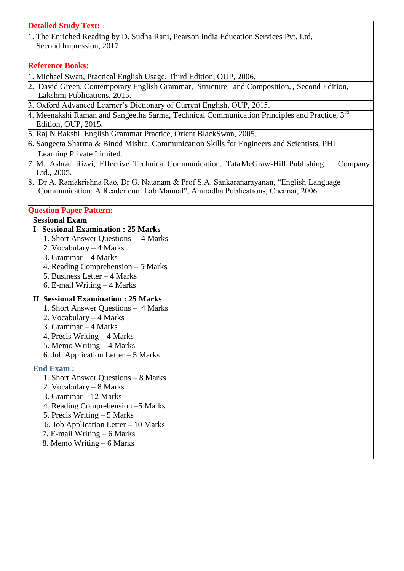### **Detailed Study Text:**

1. The Enriched Reading by D. Sudha Rani, Pearson India Education Services Pvt. Ltd, Second Impression, 2017.

#### **Reference Books:**

- 1. Michael Swan, Practical English Usage, Third Edition, OUP, 2006.
- 2. David Green, Contemporary English Grammar, Structure and Composition, , Second Edition, Lakshmi Publications, 2015.
- 3. Oxford Advanced Learner"s Dictionary of Current English, OUP, 2015.
- 4. Meenakshi Raman and Sangeetha Sarma, Technical Communication Principles and Practice,  $3<sup>rd</sup>$ Edition, OUP, 2015.
- 5. Raj N Bakshi, English Grammar Practice, Orient BlackSwan, 2005.
- 6. Sangeeta Sharma & Binod Mishra, Communication Skills for Engineers and Scientists, PHI Learning Private Limited.
- 7. M. Ashraf Rizvi, Effective Technical Communication, TataMcGraw-Hill Publishing Company Ltd., 2005.
- 8. Dr A. Ramakrishna Rao, Dr G. Natanam & Prof S.A. Sankaranarayanan, "English Language Communication: A Reader cum Lab Manual", Anuradha Publications, Chennai, 2006.

### **Question Paper Pattern:**

## **Sessional Exam**

### **I Sessional Examination : 25 Marks**

- 1. Short Answer Questions 4 Marks
- 2. Vocabulary 4 Marks
- 3. Grammar 4 Marks
- 4. Reading Comprehension 5 Marks
- 5. Business Letter 4 Marks
- 6. E-mail Writing 4 Marks

## **II Sessional Examination : 25 Marks**

- 1. Short Answer Questions 4 Marks
- 2. Vocabulary 4 Marks
- 3. Grammar 4 Marks
- 4. Précis Writing 4 Marks
- 5. Memo Writing 4 Marks
- 6. Job Application Letter 5 Marks

### **End Exam :**

- 1. Short Answer Questions 8 Marks
- 2. Vocabulary 8 Marks
- 3. Grammar 12 Marks
- 4. Reading Comprehension –5 Marks
- 5. Précis Writing 5 Marks
- 6. Job Application Letter 10 Marks
- 7. E-mail Writing 6 Marks
- 8. Memo Writing 6 Marks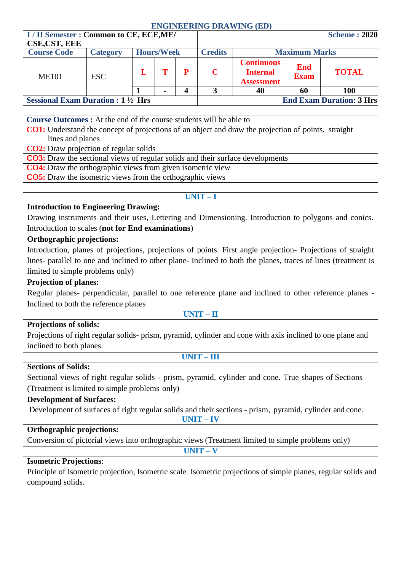## **ENGINEERING DRAWING (ED)**

| I / II Semester : Common to CE, ECE, ME/<br>CSE, CST, EEE                                                                          |                 |   |                   |                         |                                        |                                                           |                                 | <b>Scheme: 2020</b>                    |  |
|------------------------------------------------------------------------------------------------------------------------------------|-----------------|---|-------------------|-------------------------|----------------------------------------|-----------------------------------------------------------|---------------------------------|----------------------------------------|--|
| <b>Course Code</b>                                                                                                                 | <b>Category</b> |   | <b>Hours/Week</b> |                         | <b>Credits</b>                         |                                                           | <b>Maximum Marks</b>            |                                        |  |
| <b>ME101</b>                                                                                                                       | <b>ESC</b>      | L | T                 | ${\bf P}$               | $\mathbf C$<br>$\overline{\mathbf{3}}$ | <b>Continuous</b><br><b>Internal</b><br><b>Assessment</b> | <b>End</b><br><b>Exam</b><br>60 | <b>TOTAL</b>                           |  |
| <b>Sessional Exam Duration : 1 1/2 Hrs</b>                                                                                         |                 | 1 |                   | $\overline{\mathbf{4}}$ |                                        | 40                                                        |                                 | 100<br><b>End Exam Duration: 3 Hrs</b> |  |
|                                                                                                                                    |                 |   |                   |                         |                                        |                                                           |                                 |                                        |  |
| <b>Course Outcomes:</b> At the end of the course students will be able to                                                          |                 |   |                   |                         |                                        |                                                           |                                 |                                        |  |
| <b>CO1:</b> Understand the concept of projections of an object and draw the projection of points, straight                         |                 |   |                   |                         |                                        |                                                           |                                 |                                        |  |
| lines and planes                                                                                                                   |                 |   |                   |                         |                                        |                                                           |                                 |                                        |  |
| <b>CO2:</b> Draw projection of regular solids                                                                                      |                 |   |                   |                         |                                        |                                                           |                                 |                                        |  |
| CO3: Draw the sectional views of regular solids and their surface developments                                                     |                 |   |                   |                         |                                        |                                                           |                                 |                                        |  |
| <b>CO4:</b> Draw the orthographic views from given isometric view                                                                  |                 |   |                   |                         |                                        |                                                           |                                 |                                        |  |
| <b>CO5:</b> Draw the isometric views from the orthographic views                                                                   |                 |   |                   |                         |                                        |                                                           |                                 |                                        |  |
|                                                                                                                                    |                 |   |                   |                         |                                        |                                                           |                                 |                                        |  |
|                                                                                                                                    |                 |   |                   |                         | UNIT-I                                 |                                                           |                                 |                                        |  |
| <b>Introduction to Engineering Drawing:</b>                                                                                        |                 |   |                   |                         |                                        |                                                           |                                 |                                        |  |
| Drawing instruments and their uses, Lettering and Dimensioning. Introduction to polygons and conics.                               |                 |   |                   |                         |                                        |                                                           |                                 |                                        |  |
| Introduction to scales (not for End examinations)                                                                                  |                 |   |                   |                         |                                        |                                                           |                                 |                                        |  |
| <b>Orthographic projections:</b>                                                                                                   |                 |   |                   |                         |                                        |                                                           |                                 |                                        |  |
| Introduction, planes of projections, projections of points. First angle projection- Projections of straight                        |                 |   |                   |                         |                                        |                                                           |                                 |                                        |  |
| lines- parallel to one and inclined to other plane- Inclined to both the planes, traces of lines (treatment is                     |                 |   |                   |                         |                                        |                                                           |                                 |                                        |  |
| limited to simple problems only)                                                                                                   |                 |   |                   |                         |                                        |                                                           |                                 |                                        |  |
| <b>Projection of planes:</b>                                                                                                       |                 |   |                   |                         |                                        |                                                           |                                 |                                        |  |
| Regular planes- perpendicular, parallel to one reference plane and inclined to other reference planes -                            |                 |   |                   |                         |                                        |                                                           |                                 |                                        |  |
| Inclined to both the reference planes                                                                                              |                 |   |                   |                         |                                        |                                                           |                                 |                                        |  |
|                                                                                                                                    |                 |   |                   |                         | $UNIT - II$                            |                                                           |                                 |                                        |  |
| <b>Projections of solids:</b>                                                                                                      |                 |   |                   |                         |                                        |                                                           |                                 |                                        |  |
| Projections of right regular solids- prism, pyramid, cylinder and cone with axis inclined to one plane and                         |                 |   |                   |                         |                                        |                                                           |                                 |                                        |  |
| inclined to both planes.                                                                                                           |                 |   |                   |                         |                                        |                                                           |                                 |                                        |  |
|                                                                                                                                    |                 |   |                   |                         | <b>UNIT-III</b>                        |                                                           |                                 |                                        |  |
| <b>Sections of Solids:</b>                                                                                                         |                 |   |                   |                         |                                        |                                                           |                                 |                                        |  |
| Sectional views of right regular solids - prism, pyramid, cylinder and cone. True shapes of Sections                               |                 |   |                   |                         |                                        |                                                           |                                 |                                        |  |
| (Treatment is limited to simple problems only)                                                                                     |                 |   |                   |                         |                                        |                                                           |                                 |                                        |  |
| <b>Development of Surfaces:</b>                                                                                                    |                 |   |                   |                         |                                        |                                                           |                                 |                                        |  |
| Development of surfaces of right regular solids and their sections - prism, pyramid, cylinder and cone.                            |                 |   |                   |                         |                                        |                                                           |                                 |                                        |  |
|                                                                                                                                    |                 |   |                   |                         | $UNIT - IV$                            |                                                           |                                 |                                        |  |
| <b>Orthographic projections:</b>                                                                                                   |                 |   |                   |                         |                                        |                                                           |                                 |                                        |  |
| Conversion of pictorial views into orthographic views (Treatment limited to simple problems only)                                  |                 |   |                   |                         |                                        |                                                           |                                 |                                        |  |
|                                                                                                                                    |                 |   |                   |                         | $UNIT - V$                             |                                                           |                                 |                                        |  |
| <b>Isometric Projections:</b>                                                                                                      |                 |   |                   |                         |                                        |                                                           |                                 |                                        |  |
|                                                                                                                                    |                 |   |                   |                         |                                        |                                                           |                                 |                                        |  |
| Principle of Isometric projection, Isometric scale. Isometric projections of simple planes, regular solids and<br>compound solids. |                 |   |                   |                         |                                        |                                                           |                                 |                                        |  |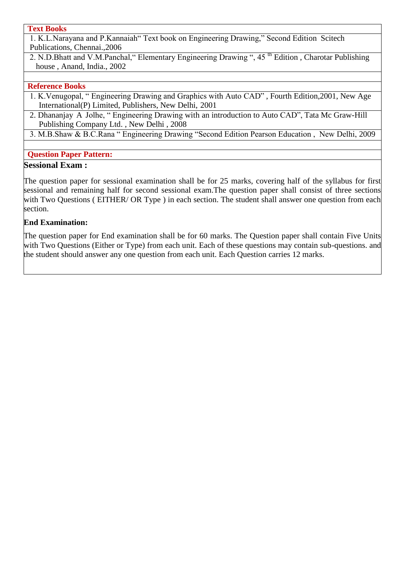### **Text Books**

1. K.L.Narayana and P.Kannaiah" Text book on Engineering Drawing," Second Edition Scitech Publications, Chennai.,2006

2. N.D.Bhatt and V.M.Panchal, "Elementary Engineering Drawing ", 45<sup>th</sup> Edition, Charotar Publishing house , Anand, India., 2002

#### **Reference Books**

- 1. K.Venugopal, " Engineering Drawing and Graphics with Auto CAD" , Fourth Edition,2001, New Age International(P) Limited, Publishers, New Delhi, 2001
- 2. Dhananjay A Jolhe, " Engineering Drawing with an introduction to Auto CAD", Tata Mc Graw-Hill Publishing Company Ltd. , New Delhi , 2008
- 3. M.B.Shaw & B.C.Rana " Engineering Drawing "Second Edition Pearson Education , New Delhi, 2009

### **Question Paper Pattern:**

### **Sessional Exam :**

The question paper for sessional examination shall be for 25 marks, covering half of the syllabus for first sessional and remaining half for second sessional exam.The question paper shall consist of three sections with Two Questions (EITHER/ OR Type) in each section. The student shall answer one question from each section.

### **End Examination:**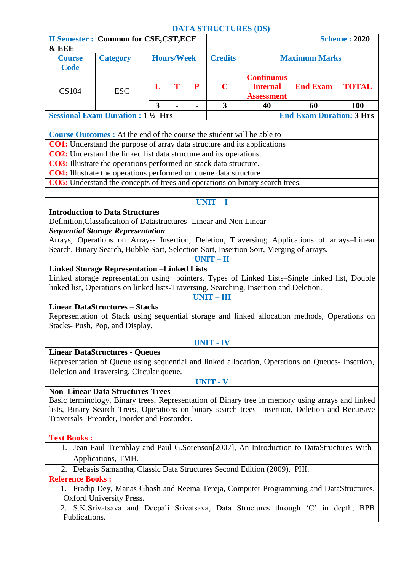## **DATA STRUCTURES (DS)**

| <b>II Semester: Common for CSE, CST, ECE</b><br><b>&amp; EEE</b>                                                                                             |                                                                                                                                                      |   |                   |                | <b>Scheme: 2020</b> |                                                           |                                 |              |  |  |
|--------------------------------------------------------------------------------------------------------------------------------------------------------------|------------------------------------------------------------------------------------------------------------------------------------------------------|---|-------------------|----------------|---------------------|-----------------------------------------------------------|---------------------------------|--------------|--|--|
| <b>Course</b><br><b>Code</b>                                                                                                                                 | <b>Category</b>                                                                                                                                      |   | <b>Hours/Week</b> |                | <b>Credits</b>      | <b>Maximum Marks</b>                                      |                                 |              |  |  |
| <b>CS104</b>                                                                                                                                                 | <b>ESC</b>                                                                                                                                           | L | T                 | P              | $\mathbf C$         | <b>Continuous</b><br><b>Internal</b><br><b>Assessment</b> | <b>End Exam</b>                 | <b>TOTAL</b> |  |  |
|                                                                                                                                                              |                                                                                                                                                      | 3 |                   | $\blacksquare$ | 3                   | 40<br>60<br><b>100</b>                                    |                                 |              |  |  |
|                                                                                                                                                              | <b>Sessional Exam Duration : 1 1/2 Hrs</b>                                                                                                           |   |                   |                |                     |                                                           | <b>End Exam Duration: 3 Hrs</b> |              |  |  |
|                                                                                                                                                              |                                                                                                                                                      |   |                   |                |                     |                                                           |                                 |              |  |  |
| <b>Course Outcomes:</b> At the end of the course the student will be able to                                                                                 |                                                                                                                                                      |   |                   |                |                     |                                                           |                                 |              |  |  |
| <b>CO1:</b> Understand the purpose of array data structure and its applications<br><b>CO2:</b> Understand the linked list data structure and its operations. |                                                                                                                                                      |   |                   |                |                     |                                                           |                                 |              |  |  |
|                                                                                                                                                              | CO3: Illustrate the operations performed on stack data structure.                                                                                    |   |                   |                |                     |                                                           |                                 |              |  |  |
|                                                                                                                                                              | <b>CO4:</b> Illustrate the operations performed on queue data structure                                                                              |   |                   |                |                     |                                                           |                                 |              |  |  |
|                                                                                                                                                              | <b>CO5:</b> Understand the concepts of trees and operations on binary search trees.                                                                  |   |                   |                |                     |                                                           |                                 |              |  |  |
|                                                                                                                                                              |                                                                                                                                                      |   |                   |                |                     |                                                           |                                 |              |  |  |
|                                                                                                                                                              |                                                                                                                                                      |   |                   |                | $UNIT-I$            |                                                           |                                 |              |  |  |
|                                                                                                                                                              | <b>Introduction to Data Structures</b>                                                                                                               |   |                   |                |                     |                                                           |                                 |              |  |  |
|                                                                                                                                                              | Definition, Classification of Datastructures- Linear and Non Linear                                                                                  |   |                   |                |                     |                                                           |                                 |              |  |  |
|                                                                                                                                                              | <b>Sequential Storage Representation</b>                                                                                                             |   |                   |                |                     |                                                           |                                 |              |  |  |
|                                                                                                                                                              | Arrays, Operations on Arrays- Insertion, Deletion, Traversing; Applications of arrays-Linear                                                         |   |                   |                |                     |                                                           |                                 |              |  |  |
|                                                                                                                                                              | Search, Binary Search, Bubble Sort, Selection Sort, Insertion Sort, Merging of arrays.                                                               |   |                   |                |                     |                                                           |                                 |              |  |  |
|                                                                                                                                                              |                                                                                                                                                      |   |                   |                | $UNIT-II$           |                                                           |                                 |              |  |  |
|                                                                                                                                                              | <b>Linked Storage Representation -Linked Lists</b><br>Linked storage representation using pointers, Types of Linked Lists-Single linked list, Double |   |                   |                |                     |                                                           |                                 |              |  |  |
|                                                                                                                                                              | linked list, Operations on linked lists-Traversing, Searching, Insertion and Deletion.                                                               |   |                   |                |                     |                                                           |                                 |              |  |  |
|                                                                                                                                                              |                                                                                                                                                      |   |                   |                | $UNIT - III$        |                                                           |                                 |              |  |  |
|                                                                                                                                                              | <b>Linear DataStructures - Stacks</b>                                                                                                                |   |                   |                |                     |                                                           |                                 |              |  |  |
|                                                                                                                                                              | Representation of Stack using sequential storage and linked allocation methods, Operations on                                                        |   |                   |                |                     |                                                           |                                 |              |  |  |
|                                                                                                                                                              | Stacks-Push, Pop, and Display.                                                                                                                       |   |                   |                |                     |                                                           |                                 |              |  |  |
|                                                                                                                                                              |                                                                                                                                                      |   |                   |                |                     |                                                           |                                 |              |  |  |
|                                                                                                                                                              |                                                                                                                                                      |   |                   |                | <b>UNIT - IV</b>    |                                                           |                                 |              |  |  |
|                                                                                                                                                              | <b>Linear DataStructures - Queues</b>                                                                                                                |   |                   |                |                     |                                                           |                                 |              |  |  |
|                                                                                                                                                              | Representation of Queue using sequential and linked allocation, Operations on Queues- Insertion,                                                     |   |                   |                |                     |                                                           |                                 |              |  |  |
|                                                                                                                                                              | Deletion and Traversing, Circular queue.                                                                                                             |   |                   |                |                     |                                                           |                                 |              |  |  |
|                                                                                                                                                              |                                                                                                                                                      |   |                   |                | <b>UNIT - V</b>     |                                                           |                                 |              |  |  |
|                                                                                                                                                              | <b>Non Linear Data Structures-Trees</b><br>Basic terminology, Binary trees, Representation of Binary tree in memory using arrays and linked          |   |                   |                |                     |                                                           |                                 |              |  |  |
|                                                                                                                                                              | lists, Binary Search Trees, Operations on binary search trees- Insertion, Deletion and Recursive                                                     |   |                   |                |                     |                                                           |                                 |              |  |  |
|                                                                                                                                                              | Traversals- Preorder, Inorder and Postorder.                                                                                                         |   |                   |                |                     |                                                           |                                 |              |  |  |
|                                                                                                                                                              |                                                                                                                                                      |   |                   |                |                     |                                                           |                                 |              |  |  |
| <b>Text Books:</b>                                                                                                                                           |                                                                                                                                                      |   |                   |                |                     |                                                           |                                 |              |  |  |
|                                                                                                                                                              | 1. Jean Paul Tremblay and Paul G.Sorenson[2007], An Introduction to DataStructures With                                                              |   |                   |                |                     |                                                           |                                 |              |  |  |
| Applications, TMH.                                                                                                                                           |                                                                                                                                                      |   |                   |                |                     |                                                           |                                 |              |  |  |
|                                                                                                                                                              | Debasis Samantha, Classic Data Structures Second Edition (2009), PHI.                                                                                |   |                   |                |                     |                                                           |                                 |              |  |  |
| <b>Reference Books:</b>                                                                                                                                      |                                                                                                                                                      |   |                   |                |                     |                                                           |                                 |              |  |  |
|                                                                                                                                                              | 1. Pradip Dey, Manas Ghosh and Reema Tereja, Computer Programming and DataStructures,                                                                |   |                   |                |                     |                                                           |                                 |              |  |  |
|                                                                                                                                                              | Oxford University Press.                                                                                                                             |   |                   |                |                     |                                                           |                                 |              |  |  |
|                                                                                                                                                              | 2. S.K.Srivatsava and Deepali Srivatsava, Data Structures through 'C' in depth, BPB                                                                  |   |                   |                |                     |                                                           |                                 |              |  |  |
| Publications.                                                                                                                                                |                                                                                                                                                      |   |                   |                |                     |                                                           |                                 |              |  |  |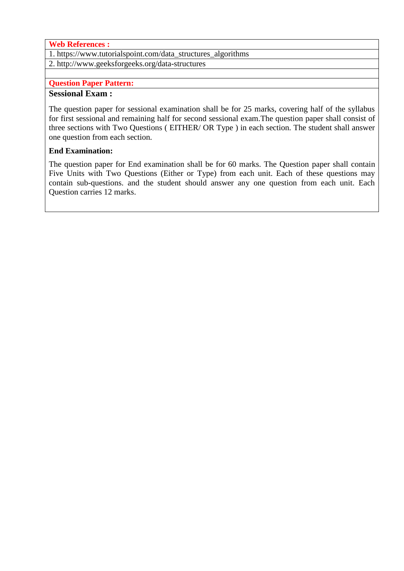### **Web References :**

1. https://www.tutorialspoint.com/data\_structures\_algorithms

2. http://www.geeksforgeeks.org/data-structures

**Question Paper Pattern:** 

## **Sessional Exam :**

The question paper for sessional examination shall be for 25 marks, covering half of the syllabus for first sessional and remaining half for second sessional exam.The question paper shall consist of three sections with Two Questions ( EITHER/ OR Type ) in each section. The student shall answer one question from each section.

### **End Examination:**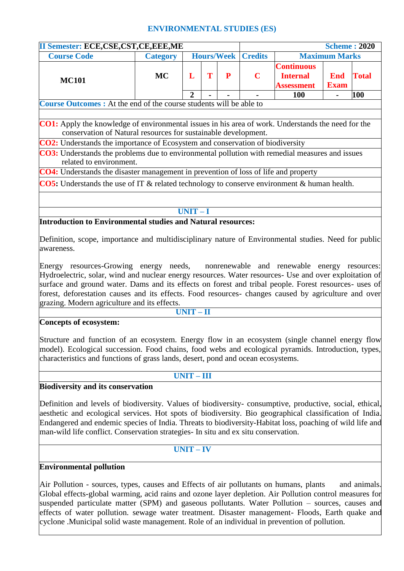### **ENVIRONMENTAL STUDIES (ES)**

| <b>II Semester: ECE, CSE, CST, CE, EEE, ME</b>                                                                                                                                                                                                                                                                                                                                                                                                                                              |                 |                |   |                   |                |                                                           |                           | <b>Scheme: 2020</b> |  |
|---------------------------------------------------------------------------------------------------------------------------------------------------------------------------------------------------------------------------------------------------------------------------------------------------------------------------------------------------------------------------------------------------------------------------------------------------------------------------------------------|-----------------|----------------|---|-------------------|----------------|-----------------------------------------------------------|---------------------------|---------------------|--|
| <b>Course Code</b>                                                                                                                                                                                                                                                                                                                                                                                                                                                                          | <b>Category</b> |                |   | <b>Hours/Week</b> | <b>Credits</b> | <b>Maximum Marks</b>                                      |                           |                     |  |
| <b>MC101</b>                                                                                                                                                                                                                                                                                                                                                                                                                                                                                | <b>MC</b>       | L              | T | P                 | $\mathbf C$    | <b>Continuous</b><br><b>Internal</b><br><b>Assessment</b> | <b>End</b><br><b>Exam</b> | <b>Total</b>        |  |
|                                                                                                                                                                                                                                                                                                                                                                                                                                                                                             |                 | $\overline{2}$ |   |                   |                | 100                                                       |                           | 100                 |  |
| <b>Course Outcomes :</b> At the end of the course students will be able to                                                                                                                                                                                                                                                                                                                                                                                                                  |                 |                |   |                   |                |                                                           |                           |                     |  |
| <b>CO1:</b> Apply the knowledge of environmental issues in his area of work. Understands the need for the<br>conservation of Natural resources for sustainable development.                                                                                                                                                                                                                                                                                                                 |                 |                |   |                   |                |                                                           |                           |                     |  |
| CO2: Understands the importance of Ecosystem and conservation of biodiversity                                                                                                                                                                                                                                                                                                                                                                                                               |                 |                |   |                   |                |                                                           |                           |                     |  |
| CO3: Understands the problems due to environmental pollution with remedial measures and issues<br>related to environment.                                                                                                                                                                                                                                                                                                                                                                   |                 |                |   |                   |                |                                                           |                           |                     |  |
| CO4: Understands the disaster management in prevention of loss of life and property                                                                                                                                                                                                                                                                                                                                                                                                         |                 |                |   |                   |                |                                                           |                           |                     |  |
| <b>CO5:</b> Understands the use of IT $\&$ related technology to conserve environment $\&$ human health.                                                                                                                                                                                                                                                                                                                                                                                    |                 |                |   |                   |                |                                                           |                           |                     |  |
|                                                                                                                                                                                                                                                                                                                                                                                                                                                                                             |                 |                |   |                   |                |                                                           |                           |                     |  |
|                                                                                                                                                                                                                                                                                                                                                                                                                                                                                             |                 | $UNIT-I$       |   |                   |                |                                                           |                           |                     |  |
| Introduction to Environmental studies and Natural resources:                                                                                                                                                                                                                                                                                                                                                                                                                                |                 |                |   |                   |                |                                                           |                           |                     |  |
| awareness.<br>Energy resources-Growing energy needs, nonrenewable and renewable energy resources:<br>Hydroelectric, solar, wind and nuclear energy resources. Water resources- Use and over exploitation of<br>surface and ground water. Dams and its effects on forest and tribal people. Forest resources- uses of<br>forest, deforestation causes and its effects. Food resources- changes caused by agriculture and over<br>grazing. Modern agriculture and its effects.<br>$UNIT - II$ |                 |                |   |                   |                |                                                           |                           |                     |  |
| Concepts of ecosystem:                                                                                                                                                                                                                                                                                                                                                                                                                                                                      |                 |                |   |                   |                |                                                           |                           |                     |  |
| Structure and function of an ecosystem. Energy flow in an ecosystem (single channel energy flow<br>model). Ecological succession. Food chains, food webs and ecological pyramids. Introduction, types,<br>characteristics and functions of grass lands, desert, pond and ocean ecosystems.                                                                                                                                                                                                  |                 |                |   |                   |                |                                                           |                           |                     |  |
|                                                                                                                                                                                                                                                                                                                                                                                                                                                                                             |                 | $UNIT - III$   |   |                   |                |                                                           |                           |                     |  |
| <b>Biodiversity and its conservation</b>                                                                                                                                                                                                                                                                                                                                                                                                                                                    |                 |                |   |                   |                |                                                           |                           |                     |  |
| Definition and levels of biodiversity. Values of biodiversity-consumptive, productive, social, ethical,<br>aesthetic and ecological services. Hot spots of biodiversity. Bio geographical classification of India.<br>Endangered and endemic species of India. Threats to biodiversity-Habitat loss, poaching of wild life and<br>man-wild life conflict. Conservation strategies- In situ and ex situ conservation.                                                                        |                 |                |   |                   |                |                                                           |                           |                     |  |
|                                                                                                                                                                                                                                                                                                                                                                                                                                                                                             |                 | $UNIT - IV$    |   |                   |                |                                                           |                           |                     |  |
|                                                                                                                                                                                                                                                                                                                                                                                                                                                                                             |                 |                |   |                   |                |                                                           |                           |                     |  |
| <b>Environmental pollution</b>                                                                                                                                                                                                                                                                                                                                                                                                                                                              |                 |                |   |                   |                |                                                           |                           |                     |  |

Air Pollution - sources, types, causes and Effects of air pollutants on humans, plants and animals. Global effects-global warming, acid rains and ozone layer depletion. Air Pollution control measures for suspended particulate matter (SPM) and gaseous pollutants. Water Pollution – sources, causes and effects of water pollution. sewage water treatment. Disaster management- Floods, Earth quake and cyclone .Municipal solid waste management. Role of an individual in prevention of pollution.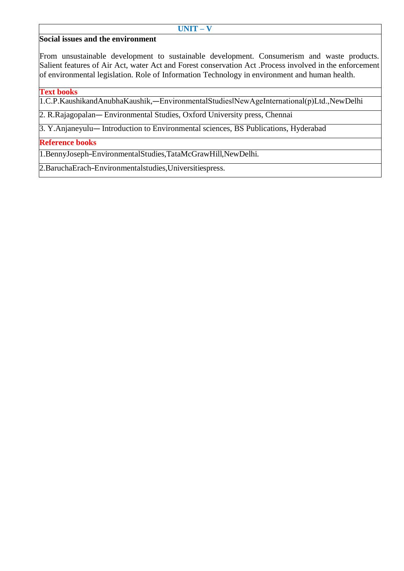### **UNIT – V**

#### **Social issues and the environment**

From unsustainable development to sustainable development. Consumerism and waste products. Salient features of Air Act, water Act and Forest conservation Act .Process involved in the enforcement of environmental legislation. Role of Information Technology in environment and human health.

### **Text books**

1.C.P.KaushikandAnubhaKaushik,―EnvironmentalStudies‖NewAgeInternational(p)Ltd.,NewDelhi

2. R.Rajagopalan― Environmental Studies, Oxford University press, Chennai

3. Y.Anjaneyulu― Introduction to Environmental sciences, BS Publications, Hyderabad

#### **Reference books**

1.BennyJoseph―EnvironmentalStudies,TataMcGrawHill,NewDelhi.

2.BaruchaErach―Environmentalstudies,Universitiespress.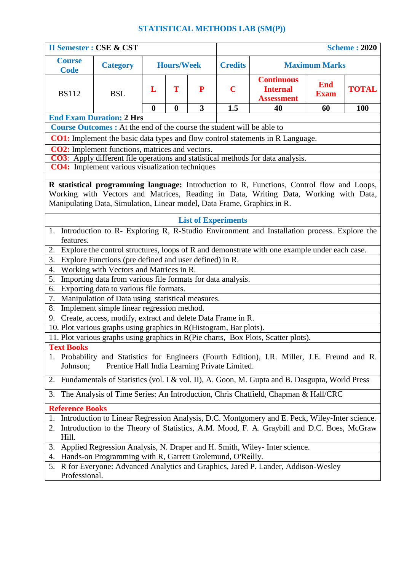# **STATISTICAL METHODS LAB (SM(P))**

| <b>II Semester : CSE &amp; CST</b> |                                                                                                                  |             |                   |                |                |                                                                                                  |                           | <b>Scheme: 2020</b> |  |  |
|------------------------------------|------------------------------------------------------------------------------------------------------------------|-------------|-------------------|----------------|----------------|--------------------------------------------------------------------------------------------------|---------------------------|---------------------|--|--|
| <b>Course</b><br><b>Code</b>       | <b>Category</b>                                                                                                  |             | <b>Hours/Week</b> |                | <b>Credits</b> | <b>Maximum Marks</b>                                                                             |                           |                     |  |  |
| <b>BS112</b>                       | <b>BSL</b>                                                                                                       | L           | T                 | P              | $\mathbf C$    | <b>Continuous</b><br><b>Internal</b><br><b>Assessment</b>                                        | <b>End</b><br><b>Exam</b> | <b>TOTAL</b>        |  |  |
|                                    |                                                                                                                  | $\mathbf 0$ | $\bf{0}$          | $\overline{3}$ | 1.5            | 40                                                                                               | 60                        | <b>100</b>          |  |  |
|                                    | <b>End Exam Duration: 2 Hrs</b><br><b>Course Outcomes :</b> At the end of the course the student will be able to |             |                   |                |                |                                                                                                  |                           |                     |  |  |
|                                    |                                                                                                                  |             |                   |                |                | <b>CO1:</b> Implement the basic data types and flow control statements in R Language.            |                           |                     |  |  |
|                                    | <b>CO2:</b> Implement functions, matrices and vectors.                                                           |             |                   |                |                |                                                                                                  |                           |                     |  |  |
|                                    |                                                                                                                  |             |                   |                |                | <b>CO3</b> : Apply different file operations and statistical methods for data analysis.          |                           |                     |  |  |
|                                    | <b>CO4:</b> Implement various visualization techniques                                                           |             |                   |                |                |                                                                                                  |                           |                     |  |  |
|                                    |                                                                                                                  |             |                   |                |                | R statistical programming language: Introduction to R, Functions, Control flow and Loops,        |                           |                     |  |  |
|                                    |                                                                                                                  |             |                   |                |                | Working with Vectors and Matrices, Reading in Data, Writing Data, Working with Data,             |                           |                     |  |  |
|                                    | Manipulating Data, Simulation, Linear model, Data Frame, Graphics in R.                                          |             |                   |                |                |                                                                                                  |                           |                     |  |  |
|                                    | <b>List of Experiments</b>                                                                                       |             |                   |                |                |                                                                                                  |                           |                     |  |  |
|                                    |                                                                                                                  |             |                   |                |                | 1. Introduction to R- Exploring R, R-Studio Environment and Installation process. Explore the    |                           |                     |  |  |
| features.                          |                                                                                                                  |             |                   |                |                |                                                                                                  |                           |                     |  |  |
| 2.                                 |                                                                                                                  |             |                   |                |                | Explore the control structures, loops of R and demonstrate with one example under each case.     |                           |                     |  |  |
| 3.                                 | Explore Functions (pre defined and user defined) in R.                                                           |             |                   |                |                |                                                                                                  |                           |                     |  |  |
| 4.<br>5.                           | Working with Vectors and Matrices in R.<br>Importing data from various file formats for data analysis.           |             |                   |                |                |                                                                                                  |                           |                     |  |  |
| 6.                                 | Exporting data to various file formats.                                                                          |             |                   |                |                |                                                                                                  |                           |                     |  |  |
| 7.                                 | Manipulation of Data using statistical measures.                                                                 |             |                   |                |                |                                                                                                  |                           |                     |  |  |
| 8.                                 | Implement simple linear regression method.                                                                       |             |                   |                |                |                                                                                                  |                           |                     |  |  |
| 9.                                 | Create, access, modify, extract and delete Data Frame in R.                                                      |             |                   |                |                |                                                                                                  |                           |                     |  |  |
|                                    | 10. Plot various graphs using graphics in R(Histogram, Bar plots).                                               |             |                   |                |                | 11. Plot various graphs using graphics in R(Pie charts, Box Plots, Scatter plots).               |                           |                     |  |  |
| <b>Text Books</b>                  |                                                                                                                  |             |                   |                |                |                                                                                                  |                           |                     |  |  |
| Johnson;                           | Prentice Hall India Learning Private Limited.                                                                    |             |                   |                |                | 1. Probability and Statistics for Engineers (Fourth Edition), I.R. Miller, J.E. Freund and R.    |                           |                     |  |  |
|                                    |                                                                                                                  |             |                   |                |                | 2. Fundamentals of Statistics (vol. I & vol. II), A. Goon, M. Gupta and B. Dasgupta, World Press |                           |                     |  |  |
| 3.                                 |                                                                                                                  |             |                   |                |                | The Analysis of Time Series: An Introduction, Chris Chatfield, Chapman & Hall/CRC                |                           |                     |  |  |
| <b>Reference Books</b>             |                                                                                                                  |             |                   |                |                |                                                                                                  |                           |                     |  |  |
| 1.                                 |                                                                                                                  |             |                   |                |                | Introduction to Linear Regression Analysis, D.C. Montgomery and E. Peck, Wiley-Inter science.    |                           |                     |  |  |
| Hill.                              |                                                                                                                  |             |                   |                |                | Introduction to the Theory of Statistics, A.M. Mood, F. A. Graybill and D.C. Boes, McGraw        |                           |                     |  |  |
| 3.                                 |                                                                                                                  |             |                   |                |                | Applied Regression Analysis, N. Draper and H. Smith, Wiley- Inter science.                       |                           |                     |  |  |
| 4.                                 | Hands-on Programming with R, Garrett Grolemund, O'Reilly.                                                        |             |                   |                |                |                                                                                                  |                           |                     |  |  |
|                                    |                                                                                                                  |             |                   |                |                | R for Everyone: Advanced Analytics and Graphics, Jared P. Lander, Addison-Wesley                 |                           |                     |  |  |
| Professional.                      |                                                                                                                  |             |                   |                |                |                                                                                                  |                           |                     |  |  |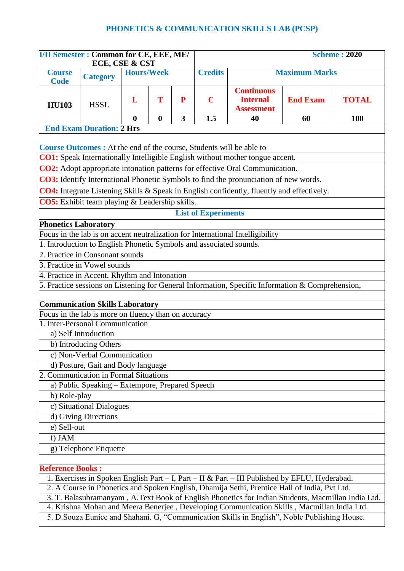## **PHONETICS & COMMUNICATION SKILLS LAB (PCSP)**

| I/II Semester: Common for CE, EEE, ME/<br>ECE, CSE & CST |                                                                                                                                                                      |                   |          |   | <b>Scheme: 2020</b>        |                                                                                                   |    |     |  |  |  |
|----------------------------------------------------------|----------------------------------------------------------------------------------------------------------------------------------------------------------------------|-------------------|----------|---|----------------------------|---------------------------------------------------------------------------------------------------|----|-----|--|--|--|
| <b>Course</b><br><b>Code</b>                             | <b>Category</b>                                                                                                                                                      | <b>Hours/Week</b> |          |   | <b>Credits</b>             | <b>Maximum Marks</b>                                                                              |    |     |  |  |  |
| <b>HU103</b>                                             | <b>HSSL</b>                                                                                                                                                          | L                 | T        | P | $\mathbf C$                | <b>Continuous</b><br><b>End Exam</b><br><b>Internal</b><br><b>TOTAL</b><br><b>Assessment</b>      |    |     |  |  |  |
|                                                          |                                                                                                                                                                      | $\mathbf{0}$      | $\bf{0}$ | 3 | 1.5                        | 40                                                                                                | 60 | 100 |  |  |  |
|                                                          | <b>End Exam Duration: 2 Hrs</b>                                                                                                                                      |                   |          |   |                            |                                                                                                   |    |     |  |  |  |
|                                                          |                                                                                                                                                                      |                   |          |   |                            |                                                                                                   |    |     |  |  |  |
|                                                          | Course Outcomes : At the end of the course, Students will be able to                                                                                                 |                   |          |   |                            | CO1: Speak Internationally Intelligible English without mother tongue accent.                     |    |     |  |  |  |
|                                                          |                                                                                                                                                                      |                   |          |   |                            |                                                                                                   |    |     |  |  |  |
|                                                          | CO2: Adopt appropriate intonation patterns for effective Oral Communication.<br>CO3: Identify International Phonetic Symbols to find the pronunciation of new words. |                   |          |   |                            |                                                                                                   |    |     |  |  |  |
|                                                          |                                                                                                                                                                      |                   |          |   |                            |                                                                                                   |    |     |  |  |  |
|                                                          |                                                                                                                                                                      |                   |          |   |                            | <b>CO4:</b> Integrate Listening Skills & Speak in English confidently, fluently and effectively.  |    |     |  |  |  |
|                                                          | <b>CO5:</b> Exhibit team playing & Leadership skills.                                                                                                                |                   |          |   |                            |                                                                                                   |    |     |  |  |  |
|                                                          |                                                                                                                                                                      |                   |          |   | <b>List of Experiments</b> |                                                                                                   |    |     |  |  |  |
| <b>Phonetics Laboratory</b>                              |                                                                                                                                                                      |                   |          |   |                            |                                                                                                   |    |     |  |  |  |
|                                                          |                                                                                                                                                                      |                   |          |   |                            | Focus in the lab is on accent neutralization for International Intelligibility                    |    |     |  |  |  |
|                                                          | 1. Introduction to English Phonetic Symbols and associated sounds.<br>2. Practice in Consonant sounds                                                                |                   |          |   |                            |                                                                                                   |    |     |  |  |  |
|                                                          | 3. Practice in Vowel sounds                                                                                                                                          |                   |          |   |                            |                                                                                                   |    |     |  |  |  |
|                                                          | 4. Practice in Accent, Rhythm and Intonation                                                                                                                         |                   |          |   |                            |                                                                                                   |    |     |  |  |  |
|                                                          |                                                                                                                                                                      |                   |          |   |                            | 5. Practice sessions on Listening for General Information, Specific Information & Comprehension,  |    |     |  |  |  |
|                                                          |                                                                                                                                                                      |                   |          |   |                            |                                                                                                   |    |     |  |  |  |
|                                                          | <b>Communication Skills Laboratory</b>                                                                                                                               |                   |          |   |                            |                                                                                                   |    |     |  |  |  |
|                                                          | Focus in the lab is more on fluency than on accuracy                                                                                                                 |                   |          |   |                            |                                                                                                   |    |     |  |  |  |
|                                                          | 1. Inter-Personal Communication                                                                                                                                      |                   |          |   |                            |                                                                                                   |    |     |  |  |  |
|                                                          | a) Self Introduction                                                                                                                                                 |                   |          |   |                            |                                                                                                   |    |     |  |  |  |
|                                                          | b) Introducing Others                                                                                                                                                |                   |          |   |                            |                                                                                                   |    |     |  |  |  |
|                                                          | c) Non-Verbal Communication                                                                                                                                          |                   |          |   |                            |                                                                                                   |    |     |  |  |  |
|                                                          | d) Posture, Gait and Body language                                                                                                                                   |                   |          |   |                            |                                                                                                   |    |     |  |  |  |
|                                                          | 2. Communication in Formal Situations                                                                                                                                |                   |          |   |                            |                                                                                                   |    |     |  |  |  |
|                                                          | a) Public Speaking - Extempore, Prepared Speech                                                                                                                      |                   |          |   |                            |                                                                                                   |    |     |  |  |  |
| b) Role-play                                             |                                                                                                                                                                      |                   |          |   |                            |                                                                                                   |    |     |  |  |  |
|                                                          | c) Situational Dialogues                                                                                                                                             |                   |          |   |                            |                                                                                                   |    |     |  |  |  |
|                                                          | d) Giving Directions                                                                                                                                                 |                   |          |   |                            |                                                                                                   |    |     |  |  |  |
|                                                          | e) Sell-out                                                                                                                                                          |                   |          |   |                            |                                                                                                   |    |     |  |  |  |
| f) JAM                                                   |                                                                                                                                                                      |                   |          |   |                            |                                                                                                   |    |     |  |  |  |
|                                                          | g) Telephone Etiquette                                                                                                                                               |                   |          |   |                            |                                                                                                   |    |     |  |  |  |
| <b>Reference Books:</b>                                  |                                                                                                                                                                      |                   |          |   |                            |                                                                                                   |    |     |  |  |  |
|                                                          |                                                                                                                                                                      |                   |          |   |                            | 1. Exercises in Spoken English Part – I, Part – II & Part – III Published by EFLU, Hyderabad.     |    |     |  |  |  |
|                                                          |                                                                                                                                                                      |                   |          |   |                            | 2. A Course in Phonetics and Spoken English, Dhamija Sethi, Prentice Hall of India, Pvt Ltd.      |    |     |  |  |  |
|                                                          |                                                                                                                                                                      |                   |          |   |                            | 3. T. Balasubramanyam, A.Text Book of English Phonetics for Indian Students, Macmillan India Ltd. |    |     |  |  |  |
|                                                          |                                                                                                                                                                      |                   |          |   |                            | 4. Krishna Mohan and Meera Benerjee, Developing Communication Skills, Macmillan India Ltd.        |    |     |  |  |  |

5. D.Souza Eunice and Shahani. G, "Communication Skills in English", Noble Publishing House.